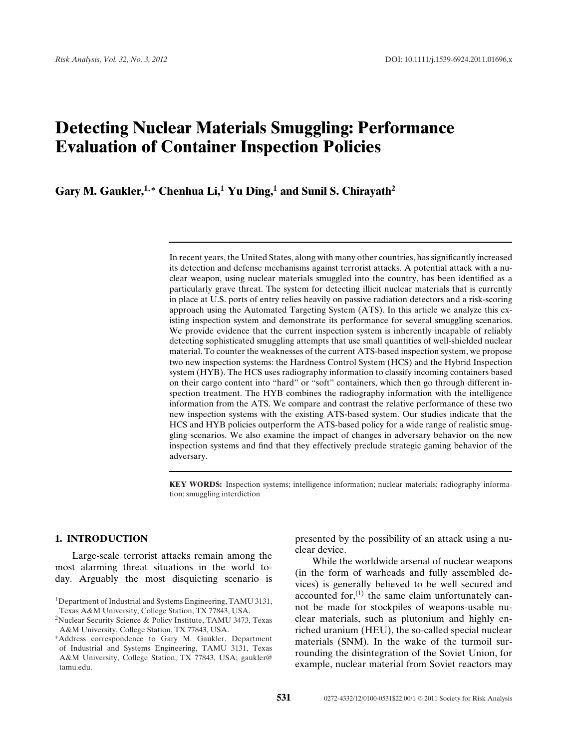# **Detecting Nuclear Materials Smuggling: Performance Evaluation of Container Inspection Policies**

**Gary M. Gaukler,<sup>1</sup>***,***<sup>∗</sup> Chenhua Li,<sup>1</sup> Yu Ding,<sup>1</sup> and Sunil S. Chirayath<sup>2</sup>**

In recent years, the United States, along with many other countries, has significantly increased its detection and defense mechanisms against terrorist attacks. A potential attack with a nuclear weapon, using nuclear materials smuggled into the country, has been identified as a particularly grave threat. The system for detecting illicit nuclear materials that is currently in place at U.S. ports of entry relies heavily on passive radiation detectors and a risk-scoring approach using the Automated Targeting System (ATS). In this article we analyze this existing inspection system and demonstrate its performance for several smuggling scenarios. We provide evidence that the current inspection system is inherently incapable of reliably detecting sophisticated smuggling attempts that use small quantities of well-shielded nuclear material. To counter the weaknesses of the current ATS-based inspection system, we propose two new inspection systems: the Hardness Control System (HCS) and the Hybrid Inspection system (HYB). The HCS uses radiography information to classify incoming containers based on their cargo content into "hard" or "soft" containers, which then go through different inspection treatment. The HYB combines the radiography information with the intelligence information from the ATS. We compare and contrast the relative performance of these two new inspection systems with the existing ATS-based system. Our studies indicate that the HCS and HYB policies outperform the ATS-based policy for a wide range of realistic smuggling scenarios. We also examine the impact of changes in adversary behavior on the new inspection systems and find that they effectively preclude strategic gaming behavior of the adversary.

**KEY WORDS:** Inspection systems; intelligence information; nuclear materials; radiography information; smuggling interdiction

## **1. INTRODUCTION**

Large-scale terrorist attacks remain among the most alarming threat situations in the world today. Arguably the most disquieting scenario is presented by the possibility of an attack using a nuclear device.

While the worldwide arsenal of nuclear weapons (in the form of warheads and fully assembled devices) is generally believed to be well secured and accounted for,  $(1)$  the same claim unfortunately cannot be made for stockpiles of weapons-usable nuclear materials, such as plutonium and highly enriched uranium (HEU), the so-called special nuclear materials (SNM). In the wake of the turmoil surrounding the disintegration of the Soviet Union, for example, nuclear material from Soviet reactors may

<sup>&</sup>lt;sup>1</sup>Department of Industrial and Systems Engineering, TAMU 3131, Texas A&M University, College Station, TX 77843, USA.

<sup>2</sup>Nuclear Security Science & Policy Institute, TAMU 3473, Texas A&M University, College Station, TX 77843, USA.

<sup>∗</sup>Address correspondence to Gary M. Gaukler, Department of Industrial and Systems Engineering, TAMU 3131, Texas A&M University, College Station, TX 77843, USA; gaukler@ tamu.edu.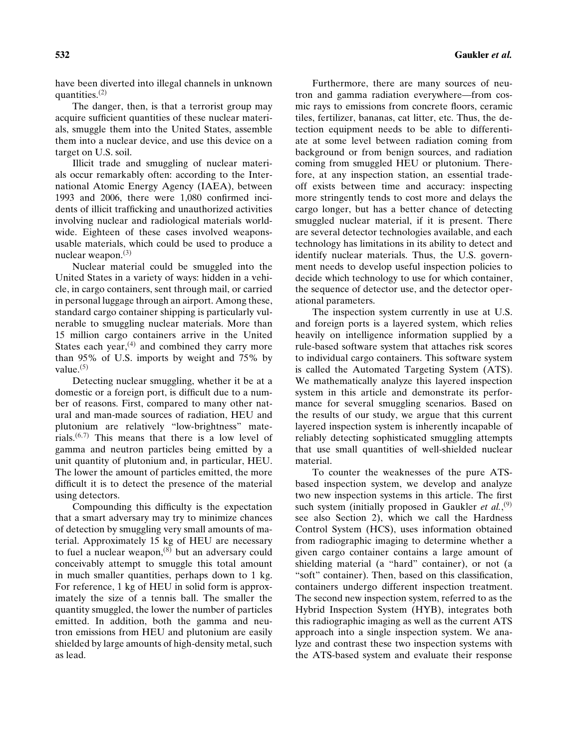have been diverted into illegal channels in unknown quantities. $(2)$ 

The danger, then, is that a terrorist group may acquire sufficient quantities of these nuclear materials, smuggle them into the United States, assemble them into a nuclear device, and use this device on a target on U.S. soil.

Illicit trade and smuggling of nuclear materials occur remarkably often: according to the International Atomic Energy Agency (IAEA), between 1993 and 2006, there were 1,080 confirmed incidents of illicit trafficking and unauthorized activities involving nuclear and radiological materials worldwide. Eighteen of these cases involved weaponsusable materials, which could be used to produce a nuclear weapon. $(3)$ 

Nuclear material could be smuggled into the United States in a variety of ways: hidden in a vehicle, in cargo containers, sent through mail, or carried in personal luggage through an airport. Among these, standard cargo container shipping is particularly vulnerable to smuggling nuclear materials. More than 15 million cargo containers arrive in the United States each year, $(4)$  and combined they carry more than 95% of U.S. imports by weight and 75% by value. $(5)$ 

Detecting nuclear smuggling, whether it be at a domestic or a foreign port, is difficult due to a number of reasons. First, compared to many other natural and man-made sources of radiation, HEU and plutonium are relatively "low-brightness" materials.<sup> $(6,7)$ </sup> This means that there is a low level of gamma and neutron particles being emitted by a unit quantity of plutonium and, in particular, HEU. The lower the amount of particles emitted, the more difficult it is to detect the presence of the material using detectors.

Compounding this difficulty is the expectation that a smart adversary may try to minimize chances of detection by smuggling very small amounts of material. Approximately 15 kg of HEU are necessary to fuel a nuclear weapon,<sup>(8)</sup> but an adversary could conceivably attempt to smuggle this total amount in much smaller quantities, perhaps down to 1 kg. For reference, 1 kg of HEU in solid form is approximately the size of a tennis ball. The smaller the quantity smuggled, the lower the number of particles emitted. In addition, both the gamma and neutron emissions from HEU and plutonium are easily shielded by large amounts of high-density metal, such as lead.

Furthermore, there are many sources of neutron and gamma radiation everywhere—from cosmic rays to emissions from concrete floors, ceramic tiles, fertilizer, bananas, cat litter, etc. Thus, the detection equipment needs to be able to differentiate at some level between radiation coming from background or from benign sources, and radiation coming from smuggled HEU or plutonium. Therefore, at any inspection station, an essential tradeoff exists between time and accuracy: inspecting more stringently tends to cost more and delays the cargo longer, but has a better chance of detecting smuggled nuclear material, if it is present. There are several detector technologies available, and each technology has limitations in its ability to detect and identify nuclear materials. Thus, the U.S. government needs to develop useful inspection policies to decide which technology to use for which container, the sequence of detector use, and the detector operational parameters.

The inspection system currently in use at U.S. and foreign ports is a layered system, which relies heavily on intelligence information supplied by a rule-based software system that attaches risk scores to individual cargo containers. This software system is called the Automated Targeting System (ATS). We mathematically analyze this layered inspection system in this article and demonstrate its performance for several smuggling scenarios. Based on the results of our study, we argue that this current layered inspection system is inherently incapable of reliably detecting sophisticated smuggling attempts that use small quantities of well-shielded nuclear material.

To counter the weaknesses of the pure ATSbased inspection system, we develop and analyze two new inspection systems in this article. The first such system (initially proposed in Gaukler *et al.*,<sup>(9)</sup> see also Section 2), which we call the Hardness Control System (HCS), uses information obtained from radiographic imaging to determine whether a given cargo container contains a large amount of shielding material (a "hard" container), or not (a "soft" container). Then, based on this classification, containers undergo different inspection treatment. The second new inspection system, referred to as the Hybrid Inspection System (HYB), integrates both this radiographic imaging as well as the current ATS approach into a single inspection system. We analyze and contrast these two inspection systems with the ATS-based system and evaluate their response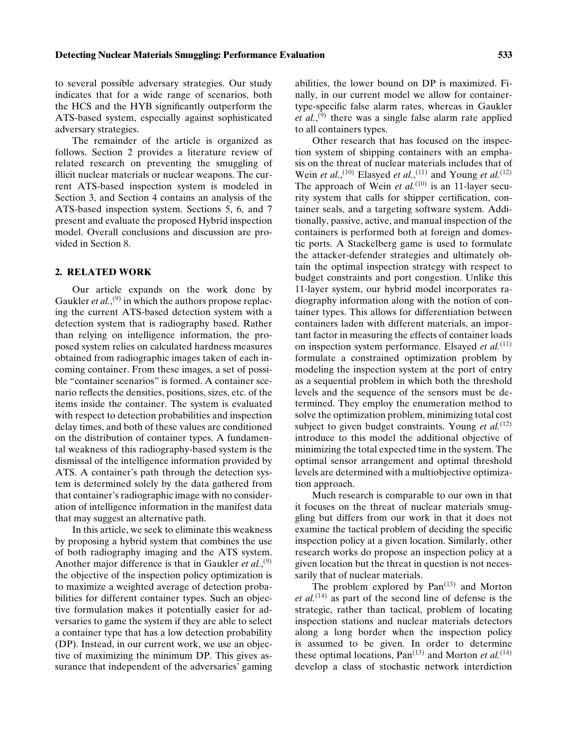to several possible adversary strategies. Our study indicates that for a wide range of scenarios, both the HCS and the HYB significantly outperform the ATS-based system, especially against sophisticated adversary strategies.

The remainder of the article is organized as follows. Section 2 provides a literature review of related research on preventing the smuggling of illicit nuclear materials or nuclear weapons. The current ATS-based inspection system is modeled in Section 3, and Section 4 contains an analysis of the ATS-based inspection system. Sections 5, 6, and 7 present and evaluate the proposed Hybrid inspection model. Overall conclusions and discussion are provided in Section 8.

## **2. RELATED WORK**

Our article expands on the work done by Gaukler *et al.*,<sup>(9)</sup> in which the authors propose replacing the current ATS-based detection system with a detection system that is radiography based. Rather than relying on intelligence information, the proposed system relies on calculated hardness measures obtained from radiographic images taken of each incoming container. From these images, a set of possible "container scenarios" is formed. A container scenario reflects the densities, positions, sizes, etc. of the items inside the container. The system is evaluated with respect to detection probabilities and inspection delay times, and both of these values are conditioned on the distribution of container types. A fundamental weakness of this radiography-based system is the dismissal of the intelligence information provided by ATS. A container's path through the detection system is determined solely by the data gathered from that container's radiographic image with no consideration of intelligence information in the manifest data that may suggest an alternative path.

In this article, we seek to eliminate this weakness by proposing a hybrid system that combines the use of both radiography imaging and the ATS system. Another major difference is that in Gaukler *et al.*,<sup>(9)</sup> the objective of the inspection policy optimization is to maximize a weighted average of detection probabilities for different container types. Such an objective formulation makes it potentially easier for adversaries to game the system if they are able to select a container type that has a low detection probability (DP). Instead, in our current work, we use an objective of maximizing the minimum DP. This gives assurance that independent of the adversaries' gaming abilities, the lower bound on DP is maximized. Finally, in our current model we allow for containertype-specific false alarm rates, whereas in Gaukler et al.,<sup>(9)</sup> there was a single false alarm rate applied to all containers types.

Other research that has focused on the inspection system of shipping containers with an emphasis on the threat of nuclear materials includes that of Wein *et al.*,<sup>(10)</sup> Elasyed *et al.*,<sup>(11)</sup> and Young *et al.*<sup>(12)</sup> The approach of Wein *et al.*<sup>(10)</sup> is an 11-layer security system that calls for shipper certification, container seals, and a targeting software system. Additionally, passive, active, and manual inspection of the containers is performed both at foreign and domestic ports. A Stackelberg game is used to formulate the attacker-defender strategies and ultimately obtain the optimal inspection strategy with respect to budget constraints and port congestion. Unlike this 11-layer system, our hybrid model incorporates radiography information along with the notion of container types. This allows for differentiation between containers laden with different materials, an important factor in measuring the effects of container loads on inspection system performance. Elsayed *et al.*<sup>(11)</sup> formulate a constrained optimization problem by modeling the inspection system at the port of entry as a sequential problem in which both the threshold levels and the sequence of the sensors must be determined. They employ the enumeration method to solve the optimization problem, minimizing total cost subject to given budget constraints. Young *et al.*<sup>(12)</sup> introduce to this model the additional objective of minimizing the total expected time in the system. The optimal sensor arrangement and optimal threshold levels are determined with a multiobjective optimization approach.

Much research is comparable to our own in that it focuses on the threat of nuclear materials smuggling but differs from our work in that it does not examine the tactical problem of deciding the specific inspection policy at a given location. Similarly, other research works do propose an inspection policy at a given location but the threat in question is not necessarily that of nuclear materials.

The problem explored by  $Pan^{(13)}$  and Morton *et al.*(14) as part of the second line of defense is the strategic, rather than tactical, problem of locating inspection stations and nuclear materials detectors along a long border when the inspection policy is assumed to be given. In order to determine these optimal locations,  $Pan^{(13)}$  and Morton *et al.*<sup>(14)</sup> develop a class of stochastic network interdiction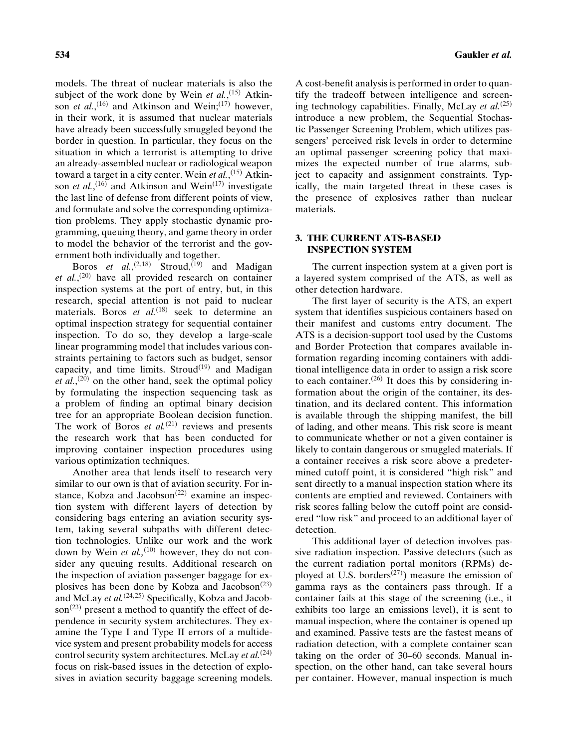models. The threat of nuclear materials is also the subject of the work done by Wein *et al.*,<sup>(15)</sup> Atkinson *et al.*,<sup>(16)</sup> and Atkinson and Wein;<sup>(17)</sup> however, in their work, it is assumed that nuclear materials have already been successfully smuggled beyond the border in question. In particular, they focus on the situation in which a terrorist is attempting to drive an already-assembled nuclear or radiological weapon toward a target in a city center. Wein *et al.*, (15) Atkinson *et al.*,<sup>(16)</sup> and Atkinson and Wein<sup>(17)</sup> investigate the last line of defense from different points of view, and formulate and solve the corresponding optimization problems. They apply stochastic dynamic programming, queuing theory, and game theory in order to model the behavior of the terrorist and the government both individually and together.

Boros *et al.*,<sup>(2,18)</sup> Stroud,<sup>(19)</sup> and Madigan *et al.*, (20) have all provided research on container inspection systems at the port of entry, but, in this research, special attention is not paid to nuclear materials. Boros *et al.*<sup>(18)</sup> seek to determine an optimal inspection strategy for sequential container inspection. To do so, they develop a large-scale linear programming model that includes various constraints pertaining to factors such as budget, sensor capacity, and time limits. Stroud<sup>(19)</sup> and Madigan *et al.*, (20) on the other hand, seek the optimal policy by formulating the inspection sequencing task as a problem of finding an optimal binary decision tree for an appropriate Boolean decision function. The work of Boros *et al.*<sup>(21)</sup> reviews and presents the research work that has been conducted for improving container inspection procedures using various optimization techniques.

Another area that lends itself to research very similar to our own is that of aviation security. For instance, Kobza and Jacobson<sup> $(22)$ </sup> examine an inspection system with different layers of detection by considering bags entering an aviation security system, taking several subpaths with different detection technologies. Unlike our work and the work down by Wein *et al.*,<sup>(10)</sup> however, they do not consider any queuing results. Additional research on the inspection of aviation passenger baggage for explosives has been done by Kobza and Jacobson<sup> $(23)$ </sup> and McLay *et al.*(24,25) Specifically, Kobza and Jacobson<sup> $(23)$ </sup> present a method to quantify the effect of dependence in security system architectures. They examine the Type I and Type II errors of a multidevice system and present probability models for access control security system architectures. McLay *et al.*(24) focus on risk-based issues in the detection of explosives in aviation security baggage screening models.

A cost-benefit analysis is performed in order to quantify the tradeoff between intelligence and screening technology capabilities. Finally, McLay *et al.*(25) introduce a new problem, the Sequential Stochastic Passenger Screening Problem, which utilizes passengers' perceived risk levels in order to determine an optimal passenger screening policy that maximizes the expected number of true alarms, subject to capacity and assignment constraints. Typically, the main targeted threat in these cases is the presence of explosives rather than nuclear materials.

# **3. THE CURRENT ATS-BASED INSPECTION SYSTEM**

The current inspection system at a given port is a layered system comprised of the ATS, as well as other detection hardware.

The first layer of security is the ATS, an expert system that identifies suspicious containers based on their manifest and customs entry document. The ATS is a decision-support tool used by the Customs and Border Protection that compares available information regarding incoming containers with additional intelligence data in order to assign a risk score to each container.<sup> $(26)$ </sup> It does this by considering information about the origin of the container, its destination, and its declared content. This information is available through the shipping manifest, the bill of lading, and other means. This risk score is meant to communicate whether or not a given container is likely to contain dangerous or smuggled materials. If a container receives a risk score above a predetermined cutoff point, it is considered "high risk" and sent directly to a manual inspection station where its contents are emptied and reviewed. Containers with risk scores falling below the cutoff point are considered "low risk" and proceed to an additional layer of detection.

This additional layer of detection involves passive radiation inspection. Passive detectors (such as the current radiation portal monitors (RPMs) deployed at U.S. borders<sup> $(27)$ </sup>) measure the emission of gamma rays as the containers pass through. If a container fails at this stage of the screening (i.e., it exhibits too large an emissions level), it is sent to manual inspection, where the container is opened up and examined. Passive tests are the fastest means of radiation detection, with a complete container scan taking on the order of 30–60 seconds. Manual inspection, on the other hand, can take several hours per container. However, manual inspection is much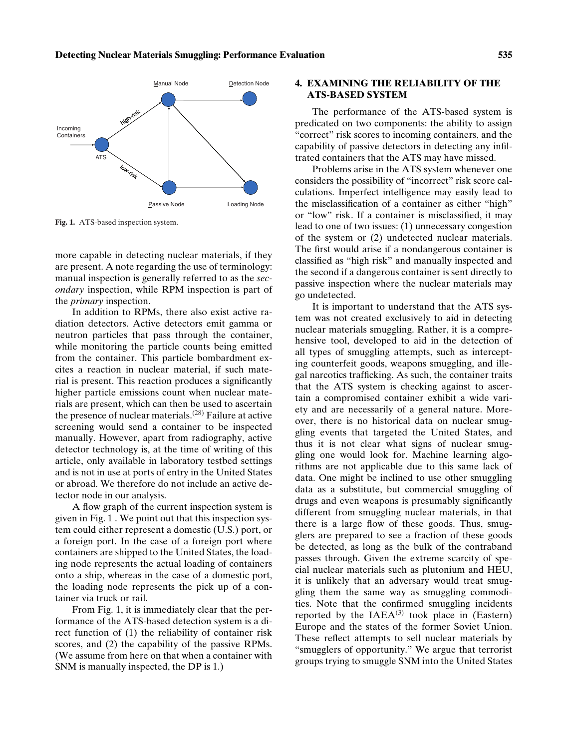

**Fig. 1.** ATS-based inspection system.

more capable in detecting nuclear materials, if they are present. A note regarding the use of terminology: manual inspection is generally referred to as the *secondary* inspection, while RPM inspection is part of the *primary* inspection.

In addition to RPMs, there also exist active radiation detectors. Active detectors emit gamma or neutron particles that pass through the container, while monitoring the particle counts being emitted from the container. This particle bombardment excites a reaction in nuclear material, if such material is present. This reaction produces a significantly higher particle emissions count when nuclear materials are present, which can then be used to ascertain the presence of nuclear materials.<sup> $(28)$ </sup> Failure at active screening would send a container to be inspected manually. However, apart from radiography, active detector technology is, at the time of writing of this article, only available in laboratory testbed settings and is not in use at ports of entry in the United States or abroad. We therefore do not include an active detector node in our analysis.

A flow graph of the current inspection system is given in Fig. 1 . We point out that this inspection system could either represent a domestic (U.S.) port, or a foreign port. In the case of a foreign port where containers are shipped to the United States, the loading node represents the actual loading of containers onto a ship, whereas in the case of a domestic port, the loading node represents the pick up of a container via truck or rail.

From Fig. 1, it is immediately clear that the performance of the ATS-based detection system is a direct function of (1) the reliability of container risk scores, and (2) the capability of the passive RPMs. (We assume from here on that when a container with SNM is manually inspected, the DP is 1.)

# **4. EXAMINING THE RELIABILITY OF THE ATS-BASED SYSTEM**

The performance of the ATS-based system is predicated on two components: the ability to assign "correct" risk scores to incoming containers, and the capability of passive detectors in detecting any infiltrated containers that the ATS may have missed.

Problems arise in the ATS system whenever one considers the possibility of "incorrect" risk score calculations. Imperfect intelligence may easily lead to the misclassification of a container as either "high" or "low" risk. If a container is misclassified, it may lead to one of two issues: (1) unnecessary congestion of the system or (2) undetected nuclear materials. The first would arise if a nondangerous container is classified as "high risk" and manually inspected and the second if a dangerous container is sent directly to passive inspection where the nuclear materials may go undetected.

It is important to understand that the ATS system was not created exclusively to aid in detecting nuclear materials smuggling. Rather, it is a comprehensive tool, developed to aid in the detection of all types of smuggling attempts, such as intercepting counterfeit goods, weapons smuggling, and illegal narcotics trafficking. As such, the container traits that the ATS system is checking against to ascertain a compromised container exhibit a wide variety and are necessarily of a general nature. Moreover, there is no historical data on nuclear smuggling events that targeted the United States, and thus it is not clear what signs of nuclear smuggling one would look for. Machine learning algorithms are not applicable due to this same lack of data. One might be inclined to use other smuggling data as a substitute, but commercial smuggling of drugs and even weapons is presumably significantly different from smuggling nuclear materials, in that there is a large flow of these goods. Thus, smugglers are prepared to see a fraction of these goods be detected, as long as the bulk of the contraband passes through. Given the extreme scarcity of special nuclear materials such as plutonium and HEU, it is unlikely that an adversary would treat smuggling them the same way as smuggling commodities. Note that the confirmed smuggling incidents reported by the  $IAEA^{(3)}$  took place in (Eastern) Europe and the states of the former Soviet Union. These reflect attempts to sell nuclear materials by "smugglers of opportunity." We argue that terrorist groups trying to smuggle SNM into the United States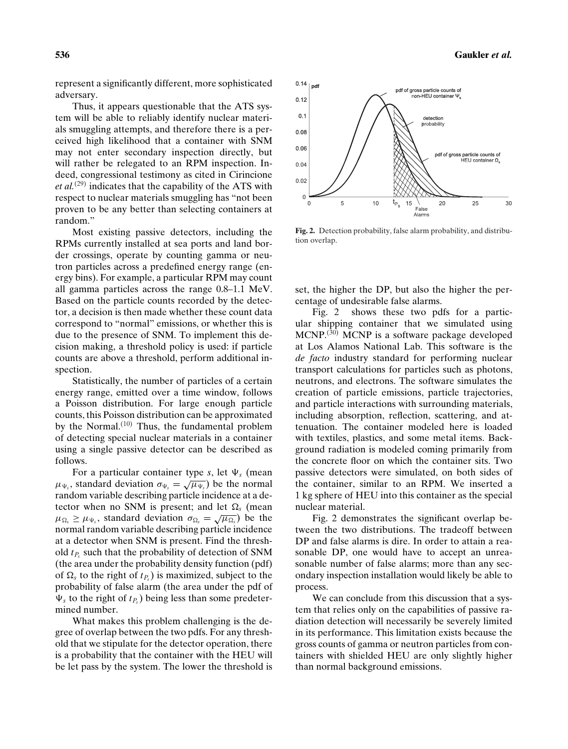represent a significantly different, more sophisticated adversary.

Thus, it appears questionable that the ATS system will be able to reliably identify nuclear materials smuggling attempts, and therefore there is a perceived high likelihood that a container with SNM may not enter secondary inspection directly, but will rather be relegated to an RPM inspection. Indeed, congressional testimony as cited in Cirincione *et al.*(29) indicates that the capability of the ATS with respect to nuclear materials smuggling has "not been proven to be any better than selecting containers at random."

Most existing passive detectors, including the RPMs currently installed at sea ports and land border crossings, operate by counting gamma or neutron particles across a predefined energy range (energy bins). For example, a particular RPM may count all gamma particles across the range 0.8–1.1 MeV. Based on the particle counts recorded by the detector, a decision is then made whether these count data correspond to "normal" emissions, or whether this is due to the presence of SNM. To implement this decision making, a threshold policy is used: if particle counts are above a threshold, perform additional inspection.

Statistically, the number of particles of a certain energy range, emitted over a time window, follows a Poisson distribution. For large enough particle counts, this Poisson distribution can be approximated by the Normal. $(10)$  Thus, the fundamental problem of detecting special nuclear materials in a container using a single passive detector can be described as follows.

For a particular container type  $s$ , let  $\Psi_s$  (mean  $\mu_{\Psi_s}$ , standard deviation  $\sigma_{\Psi_s} = \sqrt{\mu_{\Psi_s}}$ ) be the normal random variable describing particle incidence at a detector when no SNM is present; and let  $\Omega_s$  (mean  $\mu_{\Omega_s} \ge \mu_{\Psi_s}$ , standard deviation  $\sigma_{\Omega_s} = \sqrt{\mu_{\Omega_s}}$ ) be the normal random variable describing particle incidence at a detector when SNM is present. Find the threshold  $t<sub>P<sub>s</sub></sub>$  such that the probability of detection of SNM (the area under the probability density function (pdf) of  $\Omega_s$  to the right of  $t_{P_s}$ ) is maximized, subject to the probability of false alarm (the area under the pdf of  $\Psi_s$  to the right of  $t_{P_s}$ ) being less than some predetermined number.

What makes this problem challenging is the degree of overlap between the two pdfs. For any threshold that we stipulate for the detector operation, there is a probability that the container with the HEU will be let pass by the system. The lower the threshold is



**Fig. 2.** Detection probability, false alarm probability, and distribution overlap.

set, the higher the DP, but also the higher the percentage of undesirable false alarms.

Fig. 2 shows these two pdfs for a particular shipping container that we simulated using MCNP.<sup>(30)</sup> MCNP is a software package developed at Los Alamos National Lab. This software is the *de facto* industry standard for performing nuclear transport calculations for particles such as photons, neutrons, and electrons. The software simulates the creation of particle emissions, particle trajectories, and particle interactions with surrounding materials, including absorption, reflection, scattering, and attenuation. The container modeled here is loaded with textiles, plastics, and some metal items. Background radiation is modeled coming primarily from the concrete floor on which the container sits. Two passive detectors were simulated, on both sides of the container, similar to an RPM. We inserted a 1 kg sphere of HEU into this container as the special nuclear material.

Fig. 2 demonstrates the significant overlap between the two distributions. The tradeoff between DP and false alarms is dire. In order to attain a reasonable DP, one would have to accept an unreasonable number of false alarms; more than any secondary inspection installation would likely be able to process.

We can conclude from this discussion that a system that relies only on the capabilities of passive radiation detection will necessarily be severely limited in its performance. This limitation exists because the gross counts of gamma or neutron particles from containers with shielded HEU are only slightly higher than normal background emissions.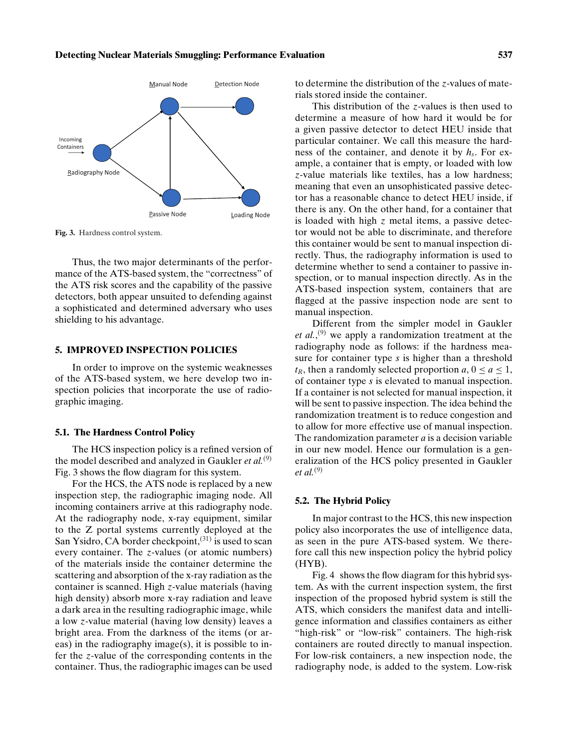#### **Detecting Nuclear Materials Smuggling: Performance Evaluation 537**



**Fig. 3.** Hardness control system.

Thus, the two major determinants of the performance of the ATS-based system, the "correctness" of the ATS risk scores and the capability of the passive detectors, both appear unsuited to defending against a sophisticated and determined adversary who uses shielding to his advantage.

## **5. IMPROVED INSPECTION POLICIES**

In order to improve on the systemic weaknesses of the ATS-based system, we here develop two inspection policies that incorporate the use of radiographic imaging.

## **5.1. The Hardness Control Policy**

The HCS inspection policy is a refined version of the model described and analyzed in Gaukler *et al.*<sup>(9)</sup> Fig. 3 shows the flow diagram for this system.

For the HCS, the ATS node is replaced by a new inspection step, the radiographic imaging node. All incoming containers arrive at this radiography node. At the radiography node, x-ray equipment, similar to the Z portal systems currently deployed at the San Ysidro, CA border checkpoint,  $(31)$  is used to scan every container. The *z*-values (or atomic numbers) of the materials inside the container determine the scattering and absorption of the x-ray radiation as the container is scanned. High *z*-value materials (having high density) absorb more x-ray radiation and leave a dark area in the resulting radiographic image, while a low *z*-value material (having low density) leaves a bright area. From the darkness of the items (or areas) in the radiography image(s), it is possible to infer the *z*-value of the corresponding contents in the container. Thus, the radiographic images can be used to determine the distribution of the *z*-values of materials stored inside the container.

This distribution of the *z*-values is then used to determine a measure of how hard it would be for a given passive detector to detect HEU inside that particular container. We call this measure the hardness of the container, and denote it by *hs*. For example, a container that is empty, or loaded with low *z*-value materials like textiles, has a low hardness; meaning that even an unsophisticated passive detector has a reasonable chance to detect HEU inside, if there is any. On the other hand, for a container that is loaded with high *z* metal items, a passive detector would not be able to discriminate, and therefore this container would be sent to manual inspection directly. Thus, the radiography information is used to determine whether to send a container to passive inspection, or to manual inspection directly. As in the ATS-based inspection system, containers that are flagged at the passive inspection node are sent to manual inspection.

Different from the simpler model in Gaukler et al.,<sup>(9)</sup> we apply a randomization treatment at the radiography node as follows: if the hardness measure for container type *s* is higher than a threshold  $t_R$ , then a randomly selected proportion  $a, 0 \le a \le 1$ , of container type *s* is elevated to manual inspection. If a container is not selected for manual inspection, it will be sent to passive inspection. The idea behind the randomization treatment is to reduce congestion and to allow for more effective use of manual inspection. The randomization parameter *a* is a decision variable in our new model. Hence our formulation is a generalization of the HCS policy presented in Gaukler *et al.*(9)

#### **5.2. The Hybrid Policy**

In major contrast to the HCS, this new inspection policy also incorporates the use of intelligence data, as seen in the pure ATS-based system. We therefore call this new inspection policy the hybrid policy (HYB).

Fig. 4 shows the flow diagram for this hybrid system. As with the current inspection system, the first inspection of the proposed hybrid system is still the ATS, which considers the manifest data and intelligence information and classifies containers as either "high-risk" or "low-risk" containers. The high-risk containers are routed directly to manual inspection. For low-risk containers, a new inspection node, the radiography node, is added to the system. Low-risk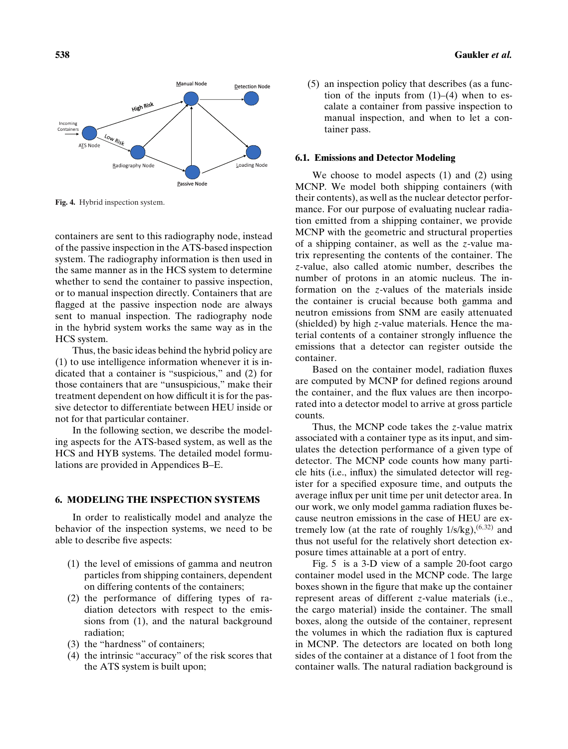

**Fig. 4.** Hybrid inspection system.

containers are sent to this radiography node, instead of the passive inspection in the ATS-based inspection system. The radiography information is then used in the same manner as in the HCS system to determine whether to send the container to passive inspection, or to manual inspection directly. Containers that are flagged at the passive inspection node are always sent to manual inspection. The radiography node in the hybrid system works the same way as in the HCS system.

Thus, the basic ideas behind the hybrid policy are (1) to use intelligence information whenever it is indicated that a container is "suspicious," and (2) for those containers that are "unsuspicious," make their treatment dependent on how difficult it is for the passive detector to differentiate between HEU inside or not for that particular container.

In the following section, we describe the modeling aspects for the ATS-based system, as well as the HCS and HYB systems. The detailed model formulations are provided in Appendices B–E.

## **6. MODELING THE INSPECTION SYSTEMS**

In order to realistically model and analyze the behavior of the inspection systems, we need to be able to describe five aspects:

- (1) the level of emissions of gamma and neutron particles from shipping containers, dependent on differing contents of the containers;
- (2) the performance of differing types of radiation detectors with respect to the emissions from (1), and the natural background radiation;
- (3) the "hardness" of containers;
- (4) the intrinsic "accuracy" of the risk scores that the ATS system is built upon;
- **538 Gaukler** *et al.*
	- (5) an inspection policy that describes (as a function of the inputs from  $(1)$ – $(4)$  when to escalate a container from passive inspection to manual inspection, and when to let a container pass.

## **6.1. Emissions and Detector Modeling**

We choose to model aspects (1) and (2) using MCNP. We model both shipping containers (with their contents), as well as the nuclear detector performance. For our purpose of evaluating nuclear radiation emitted from a shipping container, we provide MCNP with the geometric and structural properties of a shipping container, as well as the *z*-value matrix representing the contents of the container. The *z*-value, also called atomic number, describes the number of protons in an atomic nucleus. The information on the *z*-values of the materials inside the container is crucial because both gamma and neutron emissions from SNM are easily attenuated (shielded) by high *z*-value materials. Hence the material contents of a container strongly influence the emissions that a detector can register outside the container.

Based on the container model, radiation fluxes are computed by MCNP for defined regions around the container, and the flux values are then incorporated into a detector model to arrive at gross particle counts.

Thus, the MCNP code takes the *z*-value matrix associated with a container type as its input, and simulates the detection performance of a given type of detector. The MCNP code counts how many particle hits (i.e., influx) the simulated detector will register for a specified exposure time, and outputs the average influx per unit time per unit detector area. In our work, we only model gamma radiation fluxes because neutron emissions in the case of HEU are extremely low (at the rate of roughly  $1/s/kg$ ),  $(6,32)$  and thus not useful for the relatively short detection exposure times attainable at a port of entry.

Fig. 5 is a 3-D view of a sample 20-foot cargo container model used in the MCNP code. The large boxes shown in the figure that make up the container represent areas of different *z*-value materials (i.e., the cargo material) inside the container. The small boxes, along the outside of the container, represent the volumes in which the radiation flux is captured in MCNP. The detectors are located on both long sides of the container at a distance of 1 foot from the container walls. The natural radiation background is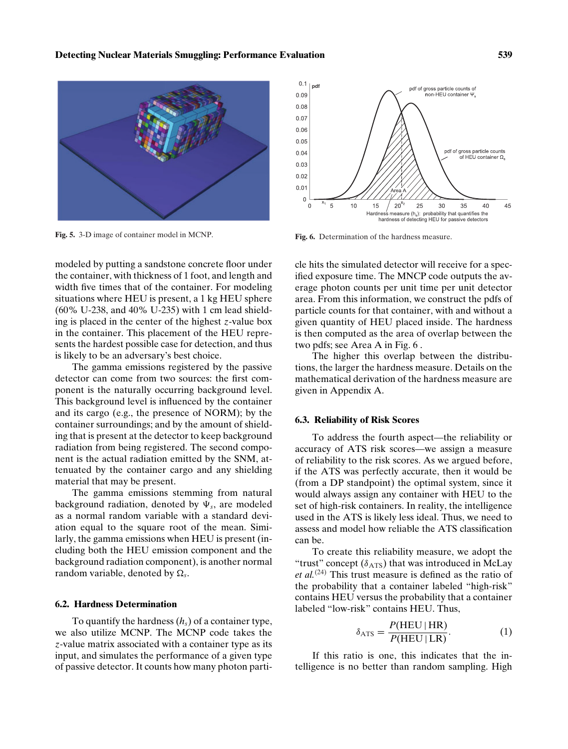

**Fig. 5.** 3-D image of container model in MCNP.



**Fig. 6.** Determination of the hardness measure.

modeled by putting a sandstone concrete floor under the container, with thickness of 1 foot, and length and width five times that of the container. For modeling situations where HEU is present, a 1 kg HEU sphere (60% U-238, and 40% U-235) with 1 cm lead shielding is placed in the center of the highest *z*-value box in the container. This placement of the HEU represents the hardest possible case for detection, and thus is likely to be an adversary's best choice.

The gamma emissions registered by the passive detector can come from two sources: the first component is the naturally occurring background level. This background level is influenced by the container and its cargo (e.g., the presence of NORM); by the container surroundings; and by the amount of shielding that is present at the detector to keep background radiation from being registered. The second component is the actual radiation emitted by the SNM, attenuated by the container cargo and any shielding material that may be present.

The gamma emissions stemming from natural background radiation, denoted by  $\Psi_s$ , are modeled as a normal random variable with a standard deviation equal to the square root of the mean. Similarly, the gamma emissions when HEU is present (including both the HEU emission component and the background radiation component), is another normal random variable, denoted by  $\Omega_s$ .

## **6.2. Hardness Determination**

To quantify the hardness  $(h<sub>s</sub>)$  of a container type, we also utilize MCNP. The MCNP code takes the *z*-value matrix associated with a container type as its input, and simulates the performance of a given type of passive detector. It counts how many photon particle hits the simulated detector will receive for a specified exposure time. The MNCP code outputs the average photon counts per unit time per unit detector area. From this information, we construct the pdfs of particle counts for that container, with and without a given quantity of HEU placed inside. The hardness is then computed as the area of overlap between the two pdfs; see Area A in Fig. 6 .

The higher this overlap between the distributions, the larger the hardness measure. Details on the mathematical derivation of the hardness measure are given in Appendix A.

#### **6.3. Reliability of Risk Scores**

To address the fourth aspect—the reliability or accuracy of ATS risk scores—we assign a measure of reliability to the risk scores. As we argued before, if the ATS was perfectly accurate, then it would be (from a DP standpoint) the optimal system, since it would always assign any container with HEU to the set of high-risk containers. In reality, the intelligence used in the ATS is likely less ideal. Thus, we need to assess and model how reliable the ATS classification can be.

To create this reliability measure, we adopt the "trust" concept  $(\delta_{\text{ATS}})$  that was introduced in McLay *et al.*(24) This trust measure is defined as the ratio of the probability that a container labeled "high-risk" contains HEU versus the probability that a container labeled "low-risk" contains HEU. Thus,

$$
\delta_{\text{ATS}} = \frac{P(\text{HEU} \mid \text{HR})}{P(\text{HEU} \mid \text{LR})}.
$$
 (1)

If this ratio is one, this indicates that the intelligence is no better than random sampling. High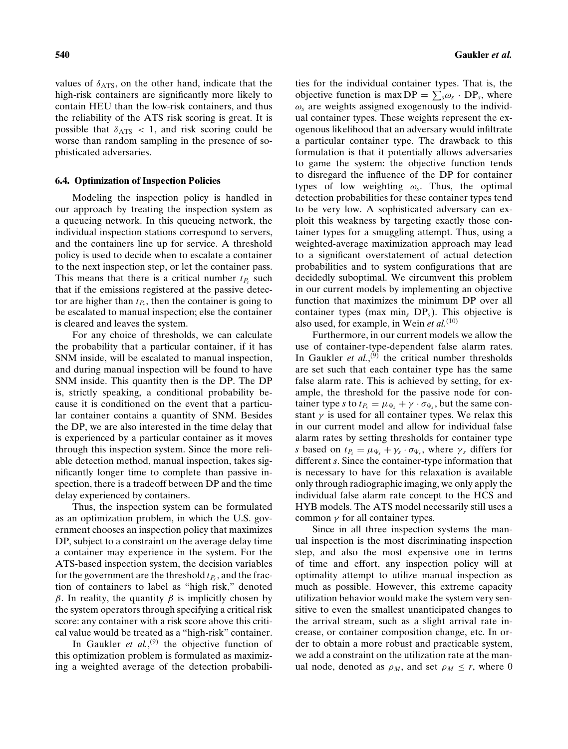values of  $\delta$ <sub>ATS</sub>, on the other hand, indicate that the high-risk containers are significantly more likely to contain HEU than the low-risk containers, and thus the reliability of the ATS risk scoring is great. It is possible that  $\delta_{\text{ATS}}$  < 1, and risk scoring could be worse than random sampling in the presence of sophisticated adversaries.

#### **6.4. Optimization of Inspection Policies**

Modeling the inspection policy is handled in our approach by treating the inspection system as a queueing network. In this queueing network, the individual inspection stations correspond to servers, and the containers line up for service. A threshold policy is used to decide when to escalate a container to the next inspection step, or let the container pass. This means that there is a critical number  $t_{P<sub>s</sub>}$  such that if the emissions registered at the passive detector are higher than  $t<sub>P<sub>s</sub></sub>$ , then the container is going to be escalated to manual inspection; else the container is cleared and leaves the system.

For any choice of thresholds, we can calculate the probability that a particular container, if it has SNM inside, will be escalated to manual inspection, and during manual inspection will be found to have SNM inside. This quantity then is the DP. The DP is, strictly speaking, a conditional probability because it is conditioned on the event that a particular container contains a quantity of SNM. Besides the DP, we are also interested in the time delay that is experienced by a particular container as it moves through this inspection system. Since the more reliable detection method, manual inspection, takes significantly longer time to complete than passive inspection, there is a tradeoff between DP and the time delay experienced by containers.

Thus, the inspection system can be formulated as an optimization problem, in which the U.S. government chooses an inspection policy that maximizes DP, subject to a constraint on the average delay time a container may experience in the system. For the ATS-based inspection system, the decision variables for the government are the threshold  $t_{P_s}$ , and the fraction of containers to label as "high risk," denoted β. In reality, the quantity β is implicitly chosen by the system operators through specifying a critical risk score: any container with a risk score above this critical value would be treated as a "high-risk" container.

In Gaukler *et al.*,<sup>(9)</sup> the objective function of this optimization problem is formulated as maximizing a weighted average of the detection probabilities for the individual container types. That is, the objective function is max  $DP = \sum_{s} \omega_s \cdot DP_s$ , where  $\omega_s$  are weights assigned exogenously to the individual container types. These weights represent the exogenous likelihood that an adversary would infiltrate a particular container type. The drawback to this formulation is that it potentially allows adversaries to game the system: the objective function tends to disregard the influence of the DP for container types of low weighting ω*s*. Thus, the optimal detection probabilities for these container types tend to be very low. A sophisticated adversary can exploit this weakness by targeting exactly those container types for a smuggling attempt. Thus, using a weighted-average maximization approach may lead to a significant overstatement of actual detection probabilities and to system configurations that are decidedly suboptimal. We circumvent this problem in our current models by implementing an objective function that maximizes the minimum DP over all container types (max  $\min_{s} DP_s$ ). This objective is also used, for example, in Wein *et al.*(10)

Furthermore, in our current models we allow the use of container-type-dependent false alarm rates. In Gaukler *et al.*,<sup>(9)</sup> the critical number thresholds are set such that each container type has the same false alarm rate. This is achieved by setting, for example, the threshold for the passive node for container type *s* to  $t_{P_s} = \mu_{\Psi_s} + \gamma \cdot \sigma_{\Psi_s}$ , but the same constant  $\gamma$  is used for all container types. We relax this in our current model and allow for individual false alarm rates by setting thresholds for container type *s* based on  $t_{P_s} = \mu_{\Psi_s} + \gamma_s \cdot \sigma_{\Psi_s}$ , where  $\gamma_s$  differs for different *s*. Since the container-type information that is necessary to have for this relaxation is available only through radiographic imaging, we only apply the individual false alarm rate concept to the HCS and HYB models. The ATS model necessarily still uses a common  $\gamma$  for all container types.

Since in all three inspection systems the manual inspection is the most discriminating inspection step, and also the most expensive one in terms of time and effort, any inspection policy will at optimality attempt to utilize manual inspection as much as possible. However, this extreme capacity utilization behavior would make the system very sensitive to even the smallest unanticipated changes to the arrival stream, such as a slight arrival rate increase, or container composition change, etc. In order to obtain a more robust and practicable system, we add a constraint on the utilization rate at the manual node, denoted as  $\rho_M$ , and set  $\rho_M \leq r$ , where 0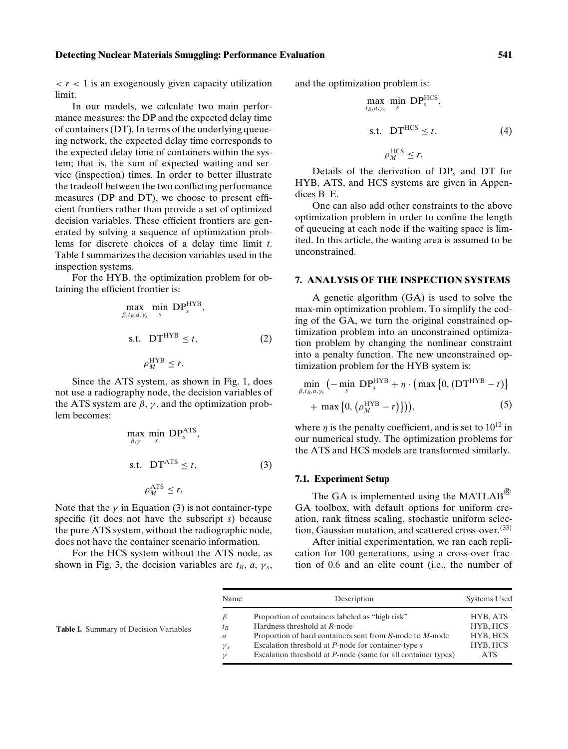#### **Detecting Nuclear Materials Smuggling: Performance Evaluation 541**

 $\langle r \rangle$  t is an exogenously given capacity utilization limit.

In our models, we calculate two main performance measures: the DP and the expected delay time of containers (DT). In terms of the underlying queueing network, the expected delay time corresponds to the expected delay time of containers within the system; that is, the sum of expected waiting and service (inspection) times. In order to better illustrate the tradeoff between the two conflicting performance measures (DP and DT), we choose to present efficient frontiers rather than provide a set of optimized decision variables. These efficient frontiers are generated by solving a sequence of optimization problems for discrete choices of a delay time limit *t*. Table I summarizes the decision variables used in the inspection systems.

For the HYB, the optimization problem for obtaining the efficient frontier is:

$$
\max_{\beta, t_R, a, \gamma_s} \min_{s} \text{DP}_{s}^{\text{HYB}},
$$
\ns.t. 
$$
\text{DT}^{\text{HYB}} \le t,
$$
\n
$$
\rho_M^{\text{HYB}} \le r.
$$
\n(2)

Since the ATS system, as shown in Fig. 1, does not use a radiography node, the decision variables of the ATS system are  $\beta$ ,  $\gamma$ , and the optimization problem becomes:

$$
\max_{\beta,\gamma} \min_{s} \text{DP}_{s}^{\text{ATS}},
$$
\n
$$
\text{s.t. } \text{DT}^{\text{ATS}} \le t,
$$
\n
$$
\rho_M^{\text{ATS}} \le r.
$$
\n(3)

Note that the  $\gamma$  in Equation (3) is not container-type specific (it does not have the subscript *s*) because the pure ATS system, without the radiographic node, does not have the container scenario information.

For the HCS system without the ATS node, as shown in Fig. 3, the decision variables are  $t_R$ ,  $a$ ,  $\gamma_s$ , and the optimization problem is:

$$
\max_{t_R, a, \gamma_s} \min_{s} \text{DP}_{s}^{\text{HCS}},
$$
\n
$$
\text{s.t. } \text{DT}^{\text{HCS}} \le t, \tag{4}
$$
\n
$$
\rho_M^{\text{HCS}} \le r.
$$

Details of the derivation of DP*<sup>s</sup>* and DT for HYB, ATS, and HCS systems are given in Appendices B–E.

One can also add other constraints to the above optimization problem in order to confine the length of queueing at each node if the waiting space is limited. In this article, the waiting area is assumed to be unconstrained.

## **7. ANALYSIS OF THE INSPECTION SYSTEMS**

A genetic algorithm (GA) is used to solve the max-min optimization problem. To simplify the coding of the GA, we turn the original constrained optimization problem into an unconstrained optimization problem by changing the nonlinear constraint into a penalty function. The new unconstrained optimization problem for the HYB system is:

$$
\min_{\beta, t_R, a, \gamma_s} \left( - \min_{s} \text{DP}_{s}^{\text{HYB}} + \eta \cdot \left( \max \left\{ 0, \left( \text{DT}^{\text{HYB}} - t \right) \right\} + \max \left\{ 0, \left( \rho_M^{\text{HYB}} - r \right) \right\} \right), \tag{5}
$$

where  $\eta$  is the penalty coefficient, and is set to  $10^{12}$  in our numerical study. The optimization problems for the ATS and HCS models are transformed similarly.

## **7.1. Experiment Setup**

The GA is implemented using the MATLAB<sup> $\&$ </sup> GA toolbox, with default options for uniform creation, rank fitness scaling, stochastic uniform selection, Gaussian mutation, and scattered cross-over.<sup>(33)</sup>

After initial experimentation, we ran each replication for 100 generations, using a cross-over fraction of 0.6 and an elite count (i.e., the number of

| Name         | Description                                                           | Systems Used |
|--------------|-----------------------------------------------------------------------|--------------|
|              | Proportion of containers labeled as "high risk"                       | HYB, ATS     |
| $t_R$        | Hardness threshold at R-node                                          | HYB, HCS     |
| a            | Proportion of hard containers sent from R-node to M-node              | HYB, HCS     |
| $\gamma_{s}$ | Escalation threshold at <i>P</i> -node for container-type <i>s</i>    | HYB, HCS     |
| $\gamma$     | Escalation threshold at <i>P</i> -node (same for all container types) | <b>ATS</b>   |

**Table I.** Summary of Decision Variables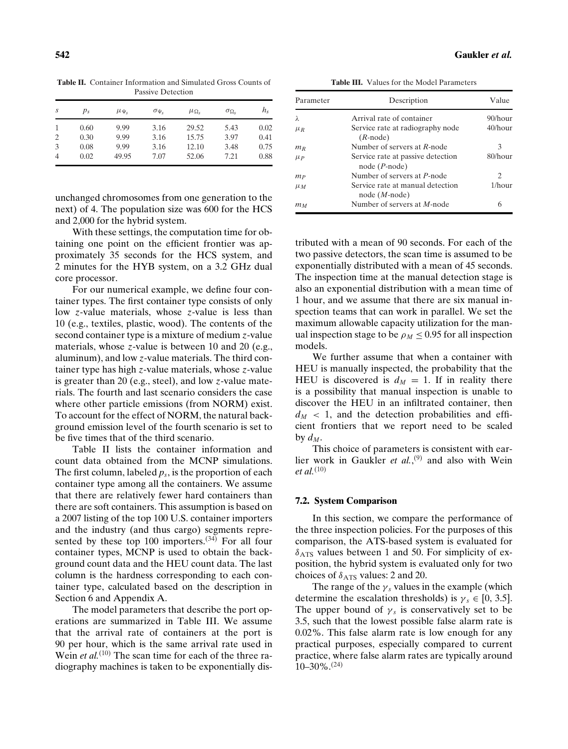**Table II.** Container Information and Simulated Gross Counts of Passive Detection

| S              | $p_s$ | $\mu_{\Psi_{s}}$ | $\sigma_{\Psi_{\rm r}}$ | $\mu_{\Omega_{S}}$ | $\sigma_{\Omega_{\rm S}}$ | $h_{\rm s}$ |
|----------------|-------|------------------|-------------------------|--------------------|---------------------------|-------------|
|                | 0.60  | 9.99             | 3.16                    | 29.52              | 5.43                      | 0.02        |
| 2              | 0.30  | 9.99             | 3.16                    | 15.75              | 3.97                      | 0.41        |
| 3              | 0.08  | 9.99             | 3.16                    | 12.10              | 3.48                      | 0.75        |
| $\overline{4}$ | 0.02  | 49.95            | 7.07                    | 52.06              | 7.21                      | 0.88        |

unchanged chromosomes from one generation to the next) of 4. The population size was 600 for the HCS and 2,000 for the hybrid system.

With these settings, the computation time for obtaining one point on the efficient frontier was approximately 35 seconds for the HCS system, and 2 minutes for the HYB system, on a 3.2 GHz dual core processor.

For our numerical example, we define four container types. The first container type consists of only low *z*-value materials, whose *z*-value is less than 10 (e.g., textiles, plastic, wood). The contents of the second container type is a mixture of medium *z*-value materials, whose *z*-value is between 10 and 20 (e.g., aluminum), and low *z*-value materials. The third container type has high *z*-value materials, whose *z*-value is greater than 20 (e.g., steel), and low *z*-value materials. The fourth and last scenario considers the case where other particle emissions (from NORM) exist. To account for the effect of NORM, the natural background emission level of the fourth scenario is set to be five times that of the third scenario.

Table II lists the container information and count data obtained from the MCNP simulations. The first column, labeled  $p_s$ , is the proportion of each container type among all the containers. We assume that there are relatively fewer hard containers than there are soft containers. This assumption is based on a 2007 listing of the top 100 U.S. container importers and the industry (and thus cargo) segments represented by these top 100 importers. $(34)$  For all four container types, MCNP is used to obtain the background count data and the HEU count data. The last column is the hardness corresponding to each container type, calculated based on the description in Section 6 and Appendix A.

The model parameters that describe the port operations are summarized in Table III. We assume that the arrival rate of containers at the port is 90 per hour, which is the same arrival rate used in Wein *et al.*<sup>(10)</sup> The scan time for each of the three radiography machines is taken to be exponentially dis-

**Table III.** Values for the Model Parameters

| Parameter   | Description                                         | Value      |
|-------------|-----------------------------------------------------|------------|
| λ           | Arrival rate of container                           | $90/h$ our |
| $\mu_R$     | Service rate at radiography node<br>$(R$ -node)     | $40/h$ our |
| $m_R$       | Number of servers at R-node                         | 3          |
| $\mu$ $\mu$ | Service rate at passive detection<br>$node(P-node)$ | $80/h$ our |
| $_{mp}$     | Number of servers at P-node                         | 2          |
| $\mu_M$     | Service rate at manual detection<br>$node(M-node)$  | 1/hour     |
| тм          | Number of servers at <i>M</i> -node                 | 6          |

tributed with a mean of 90 seconds. For each of the two passive detectors, the scan time is assumed to be exponentially distributed with a mean of 45 seconds. The inspection time at the manual detection stage is also an exponential distribution with a mean time of 1 hour, and we assume that there are six manual inspection teams that can work in parallel. We set the maximum allowable capacity utilization for the manual inspection stage to be  $\rho_M \leq 0.95$  for all inspection models.

We further assume that when a container with HEU is manually inspected, the probability that the HEU is discovered is  $d_M = 1$ . If in reality there is a possibility that manual inspection is unable to discover the HEU in an infiltrated container, then  $d_M$  < 1, and the detection probabilities and efficient frontiers that we report need to be scaled by  $d_M$ .

This choice of parameters is consistent with earlier work in Gaukler *et al.*,<sup>(9)</sup> and also with Wein *et al.*(10)

#### **7.2. System Comparison**

In this section, we compare the performance of the three inspection policies. For the purposes of this comparison, the ATS-based system is evaluated for  $\delta$ <sub>ATS</sub> values between 1 and 50. For simplicity of exposition, the hybrid system is evaluated only for two choices of  $\delta$ <sub>ATS</sub> values: 2 and 20.

The range of the  $\gamma_s$  values in the example (which determine the escalation thresholds) is  $\gamma_s \in [0, 3.5]$ . The upper bound of  $\gamma_s$  is conservatively set to be 3.5, such that the lowest possible false alarm rate is 0.02%. This false alarm rate is low enough for any practical purposes, especially compared to current practice, where false alarm rates are typically around  $10-30\%$ .<sup>(24)</sup>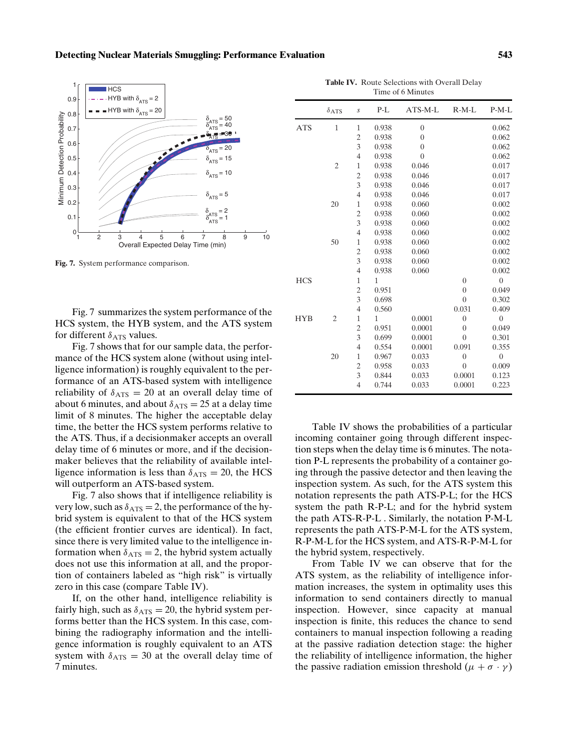#### **Detecting Nuclear Materials Smuggling: Performance Evaluation 543**



**Fig. 7.** System performance comparison.

Fig. 7 summarizes the system performance of the HCS system, the HYB system, and the ATS system for different  $\delta_{\rm ATS}$  values.

Fig. 7 shows that for our sample data, the performance of the HCS system alone (without using intelligence information) is roughly equivalent to the performance of an ATS-based system with intelligence reliability of  $\delta$ <sub>ATS</sub> = 20 at an overall delay time of about 6 minutes, and about  $\delta_{\text{ATS}} = 25$  at a delay time limit of 8 minutes. The higher the acceptable delay time, the better the HCS system performs relative to the ATS. Thus, if a decisionmaker accepts an overall delay time of 6 minutes or more, and if the decisionmaker believes that the reliability of available intelligence information is less than  $\delta_{\text{ATS}} = 20$ , the HCS will outperform an ATS-based system.

Fig. 7 also shows that if intelligence reliability is very low, such as  $\delta_{\text{ATS}} = 2$ , the performance of the hybrid system is equivalent to that of the HCS system (the efficient frontier curves are identical). In fact, since there is very limited value to the intelligence information when  $\delta_{\text{ATS}} = 2$ , the hybrid system actually does not use this information at all, and the proportion of containers labeled as "high risk" is virtually zero in this case (compare Table IV).

If, on the other hand, intelligence reliability is fairly high, such as  $\delta_{\text{ATS}} = 20$ , the hybrid system performs better than the HCS system. In this case, combining the radiography information and the intelligence information is roughly equivalent to an ATS system with  $\delta_{\text{ATS}} = 30$  at the overall delay time of 7 minutes.

**Table IV.** Route Selections with Overall Delay Time of 6 Minutes

|            | $\delta$ ATS   | $\boldsymbol{S}$ | P-L   | ATS-M-L        | $R-M-L$        | $P-M-L$          |
|------------|----------------|------------------|-------|----------------|----------------|------------------|
| <b>ATS</b> | $\mathbf{1}$   | $\mathbf{1}$     | 0.938 | $\overline{0}$ |                | 0.062            |
|            |                | $\overline{c}$   | 0.938 | $\overline{0}$ |                | 0.062            |
|            |                | 3                | 0.938 | $\overline{0}$ |                | 0.062            |
|            |                | $\overline{4}$   | 0.938 | $\overline{0}$ |                | 0.062            |
|            | $\overline{2}$ | 1                | 0.938 | 0.046          |                | 0.017            |
|            |                | $\overline{c}$   | 0.938 | 0.046          |                | 0.017            |
|            |                | 3                | 0.938 | 0.046          |                | 0.017            |
|            |                | $\overline{4}$   | 0.938 | 0.046          |                | 0.017            |
|            | 20             | $\mathbf{1}$     | 0.938 | 0.060          |                | 0.002            |
|            |                | $\overline{c}$   | 0.938 | 0.060          |                | 0.002            |
|            |                | 3                | 0.938 | 0.060          |                | 0.002            |
|            |                | $\overline{4}$   | 0.938 | 0.060          |                | 0.002            |
|            | 50             | $\mathbf{1}$     | 0.938 | 0.060          |                | 0.002            |
|            |                | $\overline{c}$   | 0.938 | 0.060          |                | 0.002            |
|            |                | 3                | 0.938 | 0.060          |                | 0.002            |
|            |                | $\overline{4}$   | 0.938 | 0.060          |                | 0.002            |
| <b>HCS</b> |                | $\mathbf{1}$     | 1     |                | $\overline{0}$ | $\boldsymbol{0}$ |
|            |                | $\overline{c}$   | 0.951 |                | $\overline{0}$ | 0.049            |
|            |                | 3                | 0.698 |                | $\overline{0}$ | 0.302            |
|            |                | $\overline{4}$   | 0.560 |                | 0.031          | 0.409            |
| <b>HYB</b> | $\overline{2}$ | $\mathbf{1}$     | 1     | 0.0001         | $\overline{0}$ | $\overline{0}$   |
|            |                | $\overline{c}$   | 0.951 | 0.0001         | $\overline{0}$ | 0.049            |
|            |                | 3                | 0.699 | 0.0001         | $\overline{0}$ | 0.301            |
|            |                | $\overline{4}$   | 0.554 | 0.0001         | 0.091          | 0.355            |
|            | 20             | $\mathbf{1}$     | 0.967 | 0.033          | $\overline{0}$ | $\boldsymbol{0}$ |
|            |                | $\overline{c}$   | 0.958 | 0.033          | $\overline{0}$ | 0.009            |
|            |                | 3                | 0.844 | 0.033          | 0.0001         | 0.123            |
|            |                | $\overline{4}$   | 0.744 | 0.033          | 0.0001         | 0.223            |

Table IV shows the probabilities of a particular incoming container going through different inspection steps when the delay time is 6 minutes. The notation P-L represents the probability of a container going through the passive detector and then leaving the inspection system. As such, for the ATS system this notation represents the path ATS-P-L; for the HCS system the path R-P-L; and for the hybrid system the path ATS-R-P-L . Similarly, the notation P-M-L represents the path ATS-P-M-L for the ATS system, R-P-M-L for the HCS system, and ATS-R-P-M-L for the hybrid system, respectively.

From Table IV we can observe that for the ATS system, as the reliability of intelligence information increases, the system in optimality uses this information to send containers directly to manual inspection. However, since capacity at manual inspection is finite, this reduces the chance to send containers to manual inspection following a reading at the passive radiation detection stage: the higher the reliability of intelligence information, the higher the passive radiation emission threshold  $(\mu + \sigma \cdot \gamma)$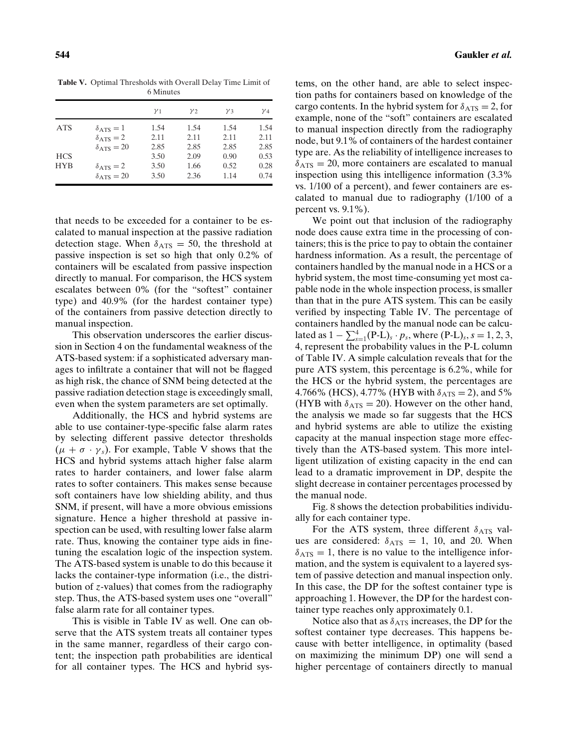**Table V.** Optimal Thresholds with Overall Delay Time Limit of 6 Minutes

|                          |                                                                              | $\gamma_1$           | $y_2$                | $\nu_3$              | $V_4$                |
|--------------------------|------------------------------------------------------------------------------|----------------------|----------------------|----------------------|----------------------|
| <b>ATS</b>               | $\delta_{\rm ATS}=1$<br>$\delta$ <sub>ATS</sub> = 2<br>$\delta_{\rm ATS}=20$ | 1.54<br>2.11<br>2.85 | 1.54<br>2.11<br>2.85 | 1.54<br>2.11<br>2.85 | 1.54<br>2.11<br>2.85 |
| <b>HCS</b><br><b>HYB</b> | $\delta_{\rm ATS}=2$<br>$\delta$ <sub>ATS</sub> = 20                         | 3.50<br>3.50<br>3.50 | 2.09<br>1.66<br>2.36 | 0.90<br>0.52<br>1.14 | 0.53<br>0.28<br>0.74 |

that needs to be exceeded for a container to be escalated to manual inspection at the passive radiation detection stage. When  $\delta_{\text{ATS}} = 50$ , the threshold at passive inspection is set so high that only 0.2% of containers will be escalated from passive inspection directly to manual. For comparison, the HCS system escalates between 0% (for the "softest" container type) and 40.9% (for the hardest container type) of the containers from passive detection directly to manual inspection.

This observation underscores the earlier discussion in Section 4 on the fundamental weakness of the ATS-based system: if a sophisticated adversary manages to infiltrate a container that will not be flagged as high risk, the chance of SNM being detected at the passive radiation detection stage is exceedingly small, even when the system parameters are set optimally.

Additionally, the HCS and hybrid systems are able to use container-type-specific false alarm rates by selecting different passive detector thresholds  $(\mu + \sigma \cdot \gamma_s)$ . For example, Table V shows that the HCS and hybrid systems attach higher false alarm rates to harder containers, and lower false alarm rates to softer containers. This makes sense because soft containers have low shielding ability, and thus SNM, if present, will have a more obvious emissions signature. Hence a higher threshold at passive inspection can be used, with resulting lower false alarm rate. Thus, knowing the container type aids in finetuning the escalation logic of the inspection system. The ATS-based system is unable to do this because it lacks the container-type information (i.e., the distribution of *z*-values) that comes from the radiography step. Thus, the ATS-based system uses one "overall" false alarm rate for all container types.

This is visible in Table IV as well. One can observe that the ATS system treats all container types in the same manner, regardless of their cargo content; the inspection path probabilities are identical for all container types. The HCS and hybrid systems, on the other hand, are able to select inspection paths for containers based on knowledge of the cargo contents. In the hybrid system for  $\delta_{\text{ATS}} = 2$ , for example, none of the "soft" containers are escalated to manual inspection directly from the radiography node, but 9.1% of containers of the hardest container type are. As the reliability of intelligence increases to  $\delta_{\text{ATS}} = 20$ , more containers are escalated to manual inspection using this intelligence information (3.3% vs. 1/100 of a percent), and fewer containers are escalated to manual due to radiography (1/100 of a percent vs. 9.1%).

We point out that inclusion of the radiography node does cause extra time in the processing of containers; this is the price to pay to obtain the container hardness information. As a result, the percentage of containers handled by the manual node in a HCS or a hybrid system, the most time-consuming yet most capable node in the whole inspection process, is smaller than that in the pure ATS system. This can be easily verified by inspecting Table IV. The percentage of containers handled by the manual node can be calcu- $\text{lated as } 1 - \sum_{s=1}^{4} (\text{P-L})_s \cdot p_s \text{, where } (\text{P-L})_s \cdot s = 1, 2, 3,$ 4, represent the probability values in the P-L column of Table IV. A simple calculation reveals that for the pure ATS system, this percentage is 6.2%, while for the HCS or the hybrid system, the percentages are 4.766% (HCS), 4.77% (HYB with  $\delta_{\text{ATS}} = 2$ ), and 5% (HYB with  $\delta_{\text{ATS}} = 20$ ). However on the other hand, the analysis we made so far suggests that the HCS and hybrid systems are able to utilize the existing capacity at the manual inspection stage more effectively than the ATS-based system. This more intelligent utilization of existing capacity in the end can lead to a dramatic improvement in DP, despite the slight decrease in container percentages processed by the manual node.

Fig. 8 shows the detection probabilities individually for each container type.

For the ATS system, three different  $\delta$ <sub>ATS</sub> values are considered:  $\delta_{\text{ATS}} = 1$ , 10, and 20. When  $\delta_{\text{ATS}} = 1$ , there is no value to the intelligence information, and the system is equivalent to a layered system of passive detection and manual inspection only. In this case, the DP for the softest container type is approaching 1. However, the DP for the hardest container type reaches only approximately 0.1.

Notice also that as  $\delta_{\text{ATS}}$  increases, the DP for the softest container type decreases. This happens because with better intelligence, in optimality (based on maximizing the minimum DP) one will send a higher percentage of containers directly to manual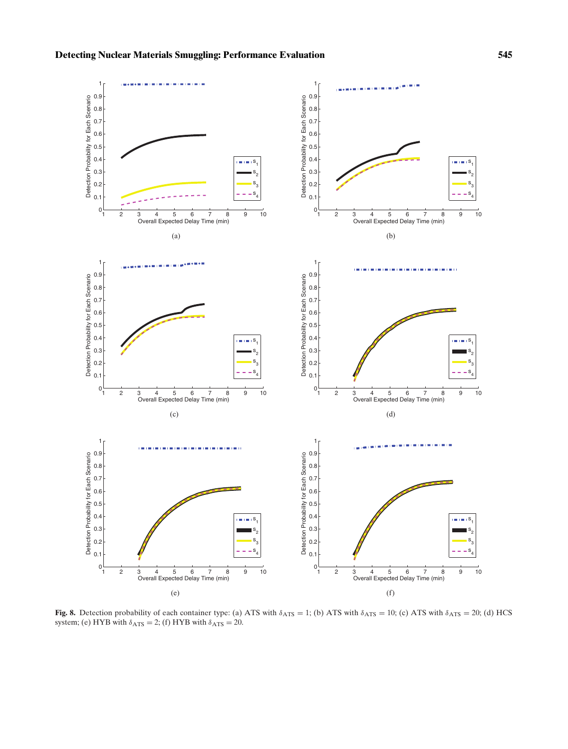

**Fig. 8.** Detection probability of each container type: (a) ATS with  $\delta_{\text{ATS}} = 1$ ; (b) ATS with  $\delta_{\text{ATS}} = 10$ ; (c) ATS with  $\delta_{\text{ATS}} = 20$ ; (d) HCS system; (e) HYB with  $\delta_{\text{ATS}} = 2$ ; (f) HYB with  $\delta_{\text{ATS}} = 20$ .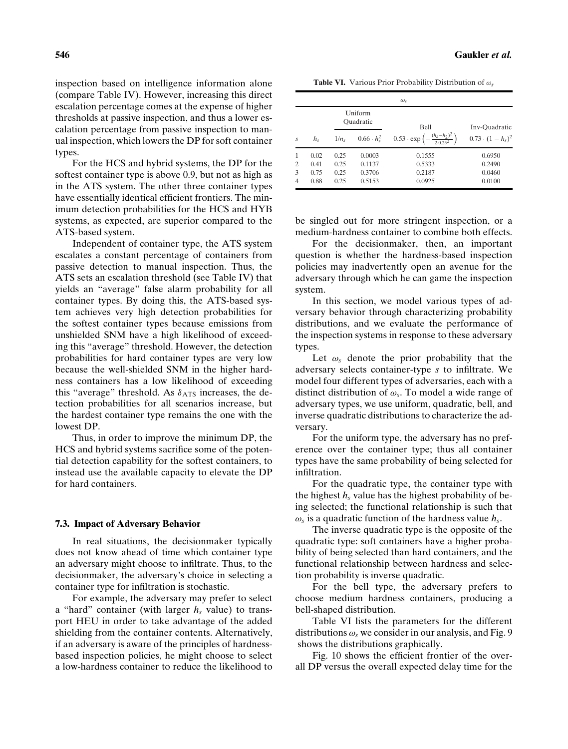inspection based on intelligence information alone (compare Table IV). However, increasing this direct escalation percentage comes at the expense of higher thresholds at passive inspection, and thus a lower escalation percentage from passive inspection to manual inspection, which lowers the DP for soft container types.

For the HCS and hybrid systems, the DP for the softest container type is above 0.9, but not as high as in the ATS system. The other three container types have essentially identical efficient frontiers. The minimum detection probabilities for the HCS and HYB systems, as expected, are superior compared to the ATS-based system.

Independent of container type, the ATS system escalates a constant percentage of containers from passive detection to manual inspection. Thus, the ATS sets an escalation threshold (see Table IV) that yields an "average" false alarm probability for all container types. By doing this, the ATS-based system achieves very high detection probabilities for the softest container types because emissions from unshielded SNM have a high likelihood of exceeding this "average" threshold. However, the detection probabilities for hard container types are very low because the well-shielded SNM in the higher hardness containers has a low likelihood of exceeding this "average" threshold. As  $\delta$ <sub>ATS</sub> increases, the detection probabilities for all scenarios increase, but the hardest container type remains the one with the lowest DP.

Thus, in order to improve the minimum DP, the HCS and hybrid systems sacrifice some of the potential detection capability for the softest containers, to instead use the available capacity to elevate the DP for hard containers.

## **7.3. Impact of Adversary Behavior**

In real situations, the decisionmaker typically does not know ahead of time which container type an adversary might choose to infiltrate. Thus, to the decisionmaker, the adversary's choice in selecting a container type for infiltration is stochastic.

For example, the adversary may prefer to select a "hard" container (with larger  $h<sub>s</sub>$  value) to transport HEU in order to take advantage of the added shielding from the container contents. Alternatively, if an adversary is aware of the principles of hardnessbased inspection policies, he might choose to select a low-hardness container to reduce the likelihood to

**Table VI.** Various Prior Probability Distribution of ω*<sup>s</sup>*

| $\omega_{s}$<br>Uniform<br>Ouadratic<br><b>Bell</b><br>Inv-Ouadratic |             |         |                          |                                                               |                          |  |  |
|----------------------------------------------------------------------|-------------|---------|--------------------------|---------------------------------------------------------------|--------------------------|--|--|
| $\overline{S}$                                                       | $h_{\rm s}$ | $1/n_s$ | $0.66 \cdot h_{\rm s}^2$ | $0.53 \cdot \exp\left(-\frac{(h_s - h_2)^2}{2.0.25^2}\right)$ | $(0.73 \cdot (1-h_s)^2)$ |  |  |
| 1                                                                    | 0.02        | 0.25    | 0.0003                   | 0.1555                                                        | 0.6950                   |  |  |
| 2                                                                    | 0.41        | 0.25    | 0.1137                   | 0.5333                                                        | 0.2490                   |  |  |
| 3                                                                    | 0.75        | 0.25    | 0.3706                   | 0.2187                                                        | 0.0460                   |  |  |
| 4                                                                    | 0.88        | 0.25    | 0.5153                   | 0.0925                                                        | 0.0100                   |  |  |

be singled out for more stringent inspection, or a medium-hardness container to combine both effects.

For the decisionmaker, then, an important question is whether the hardness-based inspection policies may inadvertently open an avenue for the adversary through which he can game the inspection system.

In this section, we model various types of adversary behavior through characterizing probability distributions, and we evaluate the performance of the inspection systems in response to these adversary types.

Let  $\omega_s$  denote the prior probability that the adversary selects container-type *s* to infiltrate. We model four different types of adversaries, each with a distinct distribution of ω*s*. To model a wide range of adversary types, we use uniform, quadratic, bell, and inverse quadratic distributions to characterize the adversary.

For the uniform type, the adversary has no preference over the container type; thus all container types have the same probability of being selected for infiltration.

For the quadratic type, the container type with the highest  $h_s$  value has the highest probability of being selected; the functional relationship is such that  $\omega_s$  is a quadratic function of the hardness value  $h_s$ .

The inverse quadratic type is the opposite of the quadratic type: soft containers have a higher probability of being selected than hard containers, and the functional relationship between hardness and selection probability is inverse quadratic.

For the bell type, the adversary prefers to choose medium hardness containers, producing a bell-shaped distribution.

Table VI lists the parameters for the different distributions  $\omega_s$  we consider in our analysis, and Fig. 9 shows the distributions graphically.

Fig. 10 shows the efficient frontier of the overall DP versus the overall expected delay time for the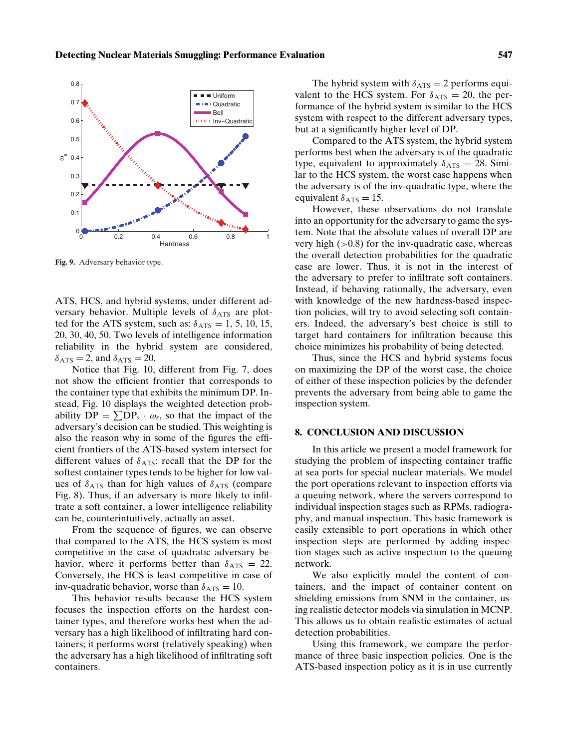

**Fig. 9.** Adversary behavior type.

ATS, HCS, and hybrid systems, under different adversary behavior. Multiple levels of  $\delta$ <sub>ATS</sub> are plotted for the ATS system, such as:  $\delta_{\text{ATS}} = 1, 5, 10, 15,$ 20, 30, 40, 50. Two levels of intelligence information reliability in the hybrid system are considered,  $\delta_{\text{ATS}} = 2$ , and  $\delta_{\text{ATS}} = 20$ .

Notice that Fig. 10, different from Fig. 7, does not show the efficient frontier that corresponds to the container type that exhibits the minimum DP. Instead, Fig. 10 displays the weighted detection probability  $DP = \sum DP_s \cdot \omega_s$ , so that the impact of the adversary's decision can be studied. This weighting is also the reason why in some of the figures the efficient frontiers of the ATS-based system intersect for different values of  $\delta$ <sub>ATS</sub>: recall that the DP for the softest container types tends to be higher for low values of  $\delta$ <sub>ATS</sub> than for high values of  $\delta$ <sub>ATS</sub> (compare Fig. 8). Thus, if an adversary is more likely to infiltrate a soft container, a lower intelligence reliability can be, counterintuitively, actually an asset.

From the sequence of figures, we can observe that compared to the ATS, the HCS system is most competitive in the case of quadratic adversary behavior, where it performs better than  $\delta_{\text{ATS}} = 22$ . Conversely, the HCS is least competitive in case of inv-quadratic behavior, worse than  $\delta_{\text{ATS}} = 10$ .

This behavior results because the HCS system focuses the inspection efforts on the hardest container types, and therefore works best when the adversary has a high likelihood of infiltrating hard containers; it performs worst (relatively speaking) when the adversary has a high likelihood of infiltrating soft containers.

The hybrid system with  $\delta_{\text{ATS}} = 2$  performs equivalent to the HCS system. For  $\delta_{\text{ATS}} = 20$ , the performance of the hybrid system is similar to the HCS system with respect to the different adversary types, but at a significantly higher level of DP.

Compared to the ATS system, the hybrid system performs best when the adversary is of the quadratic type, equivalent to approximately  $\delta_{\text{ATS}} = 28$ . Similar to the HCS system, the worst case happens when the adversary is of the inv-quadratic type, where the equivalent  $\delta_{\text{ATS}} = 15$ .

However, these observations do not translate into an opportunity for the adversary to game the system. Note that the absolute values of overall DP are very high  $(>0.8)$  for the inv-quadratic case, whereas the overall detection probabilities for the quadratic case are lower. Thus, it is not in the interest of the adversary to prefer to infiltrate soft containers. Instead, if behaving rationally, the adversary, even with knowledge of the new hardness-based inspection policies, will try to avoid selecting soft containers. Indeed, the adversary's best choice is still to target hard containers for infiltration because this choice minimizes his probability of being detected.

Thus, since the HCS and hybrid systems focus on maximizing the DP of the worst case, the choice of either of these inspection policies by the defender prevents the adversary from being able to game the inspection system.

## **8. CONCLUSION AND DISCUSSION**

In this article we present a model framework for studying the problem of inspecting container traffic at sea ports for special nuclear materials. We model the port operations relevant to inspection efforts via a queuing network, where the servers correspond to individual inspection stages such as RPMs, radiography, and manual inspection. This basic framework is easily extensible to port operations in which other inspection steps are performed by adding inspection stages such as active inspection to the queuing network.

We also explicitly model the content of containers, and the impact of container content on shielding emissions from SNM in the container, using realistic detector models via simulation in MCNP. This allows us to obtain realistic estimates of actual detection probabilities.

Using this framework, we compare the performance of three basic inspection policies. One is the ATS-based inspection policy as it is in use currently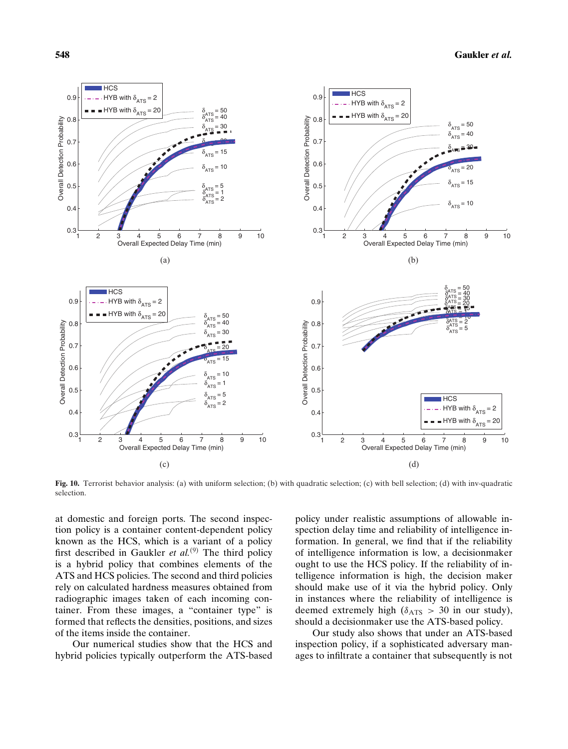

**Fig. 10.** Terrorist behavior analysis: (a) with uniform selection; (b) with quadratic selection; (c) with bell selection; (d) with inv-quadratic selection.

at domestic and foreign ports. The second inspection policy is a container content-dependent policy known as the HCS, which is a variant of a policy first described in Gaukler *et al.*<sup>(9)</sup> The third policy is a hybrid policy that combines elements of the ATS and HCS policies. The second and third policies rely on calculated hardness measures obtained from radiographic images taken of each incoming container. From these images, a "container type" is formed that reflects the densities, positions, and sizes of the items inside the container.

Our numerical studies show that the HCS and hybrid policies typically outperform the ATS-based policy under realistic assumptions of allowable inspection delay time and reliability of intelligence information. In general, we find that if the reliability of intelligence information is low, a decisionmaker ought to use the HCS policy. If the reliability of intelligence information is high, the decision maker should make use of it via the hybrid policy. Only in instances where the reliability of intelligence is deemed extremely high ( $\delta$ <sub>ATS</sub> > 30 in our study), should a decisionmaker use the ATS-based policy.

Our study also shows that under an ATS-based inspection policy, if a sophisticated adversary manages to infiltrate a container that subsequently is not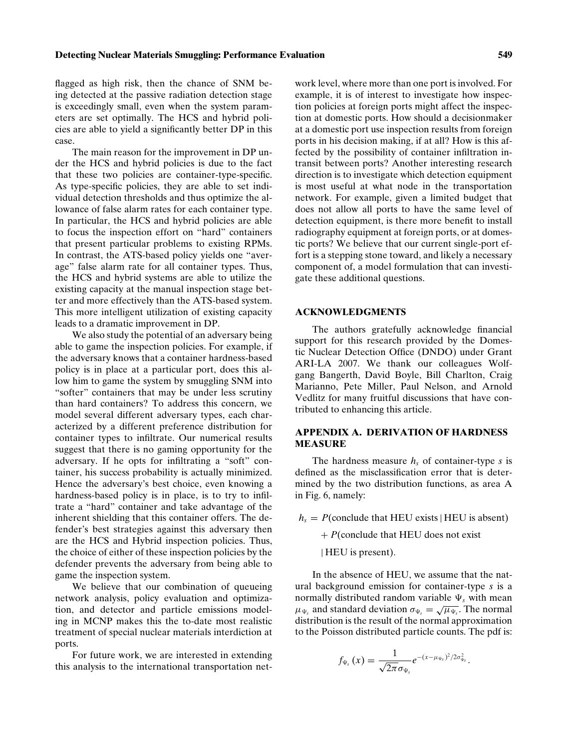flagged as high risk, then the chance of SNM being detected at the passive radiation detection stage is exceedingly small, even when the system parameters are set optimally. The HCS and hybrid policies are able to yield a significantly better DP in this case.

The main reason for the improvement in DP under the HCS and hybrid policies is due to the fact that these two policies are container-type-specific. As type-specific policies, they are able to set individual detection thresholds and thus optimize the allowance of false alarm rates for each container type. In particular, the HCS and hybrid policies are able to focus the inspection effort on "hard" containers that present particular problems to existing RPMs. In contrast, the ATS-based policy yields one "average" false alarm rate for all container types. Thus, the HCS and hybrid systems are able to utilize the existing capacity at the manual inspection stage better and more effectively than the ATS-based system. This more intelligent utilization of existing capacity leads to a dramatic improvement in DP.

We also study the potential of an adversary being able to game the inspection policies. For example, if the adversary knows that a container hardness-based policy is in place at a particular port, does this allow him to game the system by smuggling SNM into "softer" containers that may be under less scrutiny than hard containers? To address this concern, we model several different adversary types, each characterized by a different preference distribution for container types to infiltrate. Our numerical results suggest that there is no gaming opportunity for the adversary. If he opts for infiltrating a "soft" container, his success probability is actually minimized. Hence the adversary's best choice, even knowing a hardness-based policy is in place, is to try to infiltrate a "hard" container and take advantage of the inherent shielding that this container offers. The defender's best strategies against this adversary then are the HCS and Hybrid inspection policies. Thus, the choice of either of these inspection policies by the defender prevents the adversary from being able to game the inspection system.

We believe that our combination of queueing network analysis, policy evaluation and optimization, and detector and particle emissions modeling in MCNP makes this the to-date most realistic treatment of special nuclear materials interdiction at ports.

For future work, we are interested in extending this analysis to the international transportation net-

work level, where more than one port is involved. For example, it is of interest to investigate how inspection policies at foreign ports might affect the inspection at domestic ports. How should a decisionmaker at a domestic port use inspection results from foreign ports in his decision making, if at all? How is this affected by the possibility of container infiltration intransit between ports? Another interesting research direction is to investigate which detection equipment is most useful at what node in the transportation network. For example, given a limited budget that does not allow all ports to have the same level of detection equipment, is there more benefit to install radiography equipment at foreign ports, or at domestic ports? We believe that our current single-port effort is a stepping stone toward, and likely a necessary component of, a model formulation that can investigate these additional questions.

## **ACKNOWLEDGMENTS**

The authors gratefully acknowledge financial support for this research provided by the Domestic Nuclear Detection Office (DNDO) under Grant ARI-LA 2007. We thank our colleagues Wolfgang Bangerth, David Boyle, Bill Charlton, Craig Marianno, Pete Miller, Paul Nelson, and Arnold Vedlitz for many fruitful discussions that have contributed to enhancing this article.

# **APPENDIX A. DERIVATION OF HARDNESS MEASURE**

The hardness measure *hs* of container-type *s* is defined as the misclassification error that is determined by the two distribution functions, as area A in Fig. 6, namely:

 $h<sub>s</sub> = P$ (conclude that HEU exists | HEU is absent)

+ *P*(conclude that HEU does not exist

| HEU is present).

In the absence of HEU, we assume that the natural background emission for container-type *s* is a normally distributed random variable  $\Psi_s$  with mean  $\mu_{\Psi_s}$  and standard deviation  $\sigma_{\Psi_s} = \sqrt{\mu_{\Psi_s}}$ . The normal distribution is the result of the normal approximation to the Poisson distributed particle counts. The pdf is:

$$
f_{\Psi_s}(x)=\frac{1}{\sqrt{2\pi}\sigma_{\Psi_s}}e^{-(x-\mu_{\Psi_s})^2/2\sigma_{\Psi_s}^2}.
$$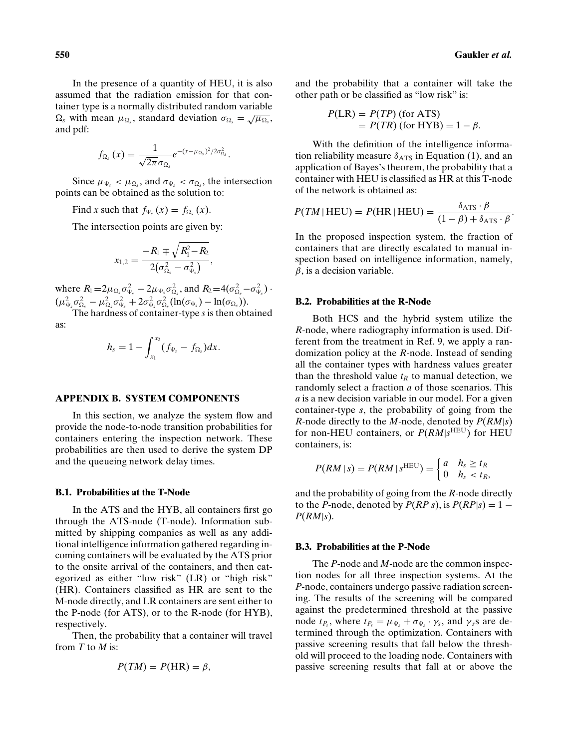In the presence of a quantity of HEU, it is also assumed that the radiation emission for that container type is a normally distributed random variable  $\Omega_s$  with mean  $\mu_{\Omega_s}$ , standard deviation  $\sigma_{\Omega_s} = \sqrt{\mu_{\Omega_s}}$ , and pdf:

$$
f_{\Omega_s}\left(x\right)=\frac{1}{\sqrt{2\pi}\sigma_{\Omega_s}}e^{-(x-\mu_{\Omega_s})^2/2\sigma_{\Omega_s}^2}.
$$

Since  $\mu_{\Psi_s} < \mu_{\Omega_s}$ , and  $\sigma_{\Psi_s} < \sigma_{\Omega_s}$ , the intersection points can be obtained as the solution to:

Find *x* such that  $f_{\Psi_s}(x) = f_{\Omega_s}(x)$ .

The intersection points are given by:

$$
x_{1,2}=\frac{-R_1\mp\sqrt{R_1^2\!-\!R_2}}{2\big(\sigma_{\Omega_s}^2-\sigma_{\Psi_s}^2\big)},
$$

where  $R_1 = 2\mu_{\Omega_s} \sigma_{\Psi_s}^2 - 2\mu_{\Psi_s} \sigma_{\Omega_s}^2$ , and  $R_2 = 4(\sigma_{\Omega_s}^2 - \sigma_{\Psi_s}^2)$ .  $(\mu_{\Psi_s}^2 \sigma_{\Omega_s}^2 - \mu_{\Omega_s}^2 \sigma_{\Psi_s}^2 + 2\sigma_{\Psi_s}^2 \sigma_{\Omega_s}^2 (\ln(\sigma_{\Psi_s}) - \ln(\sigma_{\Omega_s})).$ 

The hardness of container-type *s* is then obtained as:

$$
h_s = 1 - \int_{x_1}^{x_2} (f_{\Psi_s} - f_{\Omega_s}) dx.
$$

## **APPENDIX B. SYSTEM COMPONENTS**

In this section, we analyze the system flow and provide the node-to-node transition probabilities for containers entering the inspection network. These probabilities are then used to derive the system DP and the queueing network delay times.

#### **B.1. Probabilities at the T-Node**

In the ATS and the HYB, all containers first go through the ATS-node (T-node). Information submitted by shipping companies as well as any additional intelligence information gathered regarding incoming containers will be evaluated by the ATS prior to the onsite arrival of the containers, and then categorized as either "low risk" (LR) or "high risk" (HR). Containers classified as HR are sent to the M-node directly, and LR containers are sent either to the P-node (for ATS), or to the R-node (for HYB), respectively.

Then, the probability that a container will travel from *T* to *M* is:

$$
P(TM) = P(HR) = \beta,
$$

and the probability that a container will take the other path or be classified as "low risk" is:

$$
P(LR) = P(TP)
$$
 (for ATS)  
=  $P(TR)$  (for HYB) =  $1 - \beta$ .

With the definition of the intelligence information reliability measure  $\delta$ <sub>ATS</sub> in Equation (1), and an application of Bayes's theorem, the probability that a container with HEU is classified as HR at this T-node of the network is obtained as:

$$
P(TM | \text{ HEU}) = P(\text{HR} | \text{HEU}) = \frac{\delta_{\text{ATS}} \cdot \beta}{(1 - \beta) + \delta_{\text{ATS}} \cdot \beta}.
$$

In the proposed inspection system, the fraction of containers that are directly escalated to manual inspection based on intelligence information, namely,  $\beta$ , is a decision variable.

## **B.2. Probabilities at the R-Node**

Both HCS and the hybrid system utilize the *R*-node, where radiography information is used. Different from the treatment in Ref. 9, we apply a randomization policy at the *R*-node. Instead of sending all the container types with hardness values greater than the threshold value  $t_R$  to manual detection, we randomly select a fraction *a* of those scenarios. This *a* is a new decision variable in our model. For a given container-type *s*, the probability of going from the *R*-node directly to the *M*-node, denoted by *P*(*RM*|*s*) for non-HEU containers, or  $P(RM|s^{\text{HEU}})$  for HEU containers, is:

$$
P(RM \mid s) = P(RM \mid s^{HEU}) = \begin{cases} a & h_s \geq t_R \\ 0 & h_s < t_R, \end{cases}
$$

and the probability of going from the *R*-node directly to the *P*-node, denoted by  $P(RP|s)$ , is  $P(RP|s) = 1 -$ *P*(*RM*|*s*).

## **B.3. Probabilities at the P-Node**

The *P*-node and *M*-node are the common inspection nodes for all three inspection systems. At the *P*-node, containers undergo passive radiation screening. The results of the screening will be compared against the predetermined threshold at the passive node  $t_{P_s}$ , where  $t_{P_s} = \mu_{\Psi_s} + \sigma_{\Psi_s} \cdot \gamma_s$ , and  $\gamma_s$ s are determined through the optimization. Containers with passive screening results that fall below the threshold will proceed to the loading node. Containers with passive screening results that fall at or above the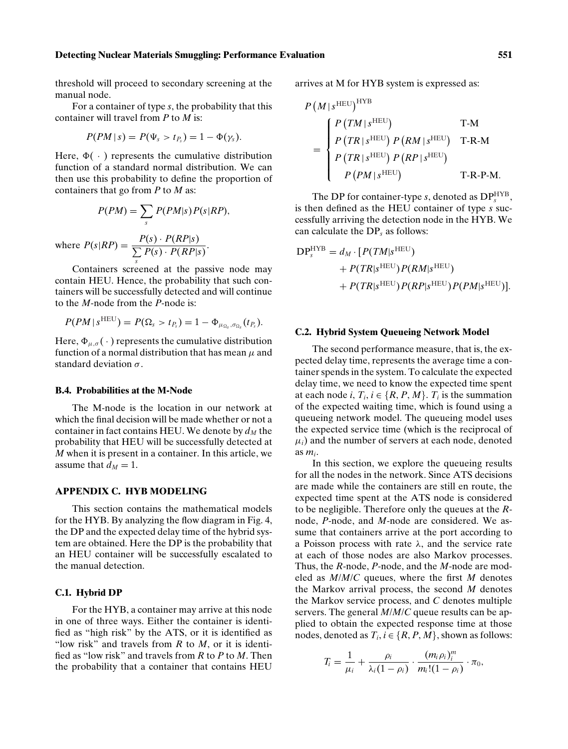#### **Detecting Nuclear Materials Smuggling: Performance Evaluation 551**

threshold will proceed to secondary screening at the manual node.

For a container of type *s*, the probability that this container will travel from *P* to *M* is:

$$
P(PM|s) = P(\Psi_s > t_{P_s}) = 1 - \Phi(\gamma_s).
$$

Here,  $\Phi(\cdot)$  represents the cumulative distribution function of a standard normal distribution. We can then use this probability to define the proportion of containers that go from *P* to *M* as:

$$
P(PM) = \sum_{s} P(PM|s)P(s|RP),
$$
  
where 
$$
P(s|RP) = \frac{P(s) \cdot P(RP|s)}{\sum_{s} P(s) \cdot P(RP|s)}.
$$

Containers screened at the passive node may contain HEU. Hence, the probability that such containers will be successfully detected and will continue to the *M*-node from the *P*-node is:

$$
P(PM \mid s^{\text{HEU}}) = P(\Omega_s > t_{P_s}) = 1 - \Phi_{\mu_{\Omega_s}, \sigma_{\Omega_s}}(t_{P_s}).
$$

Here,  $\Phi_{\mu,\sigma}(\cdot)$  represents the cumulative distribution function of a normal distribution that has mean  $\mu$  and standard deviation  $\sigma$ .

## **B.4. Probabilities at the M-Node**

The M-node is the location in our network at which the final decision will be made whether or not a container in fact contains HEU. We denote by  $d<sub>M</sub>$  the probability that HEU will be successfully detected at *M* when it is present in a container. In this article, we assume that  $d_M = 1$ .

## **APPENDIX C. HYB MODELING**

This section contains the mathematical models for the HYB. By analyzing the flow diagram in Fig. 4, the DP and the expected delay time of the hybrid system are obtained. Here the DP is the probability that an HEU container will be successfully escalated to the manual detection.

## **C.1. Hybrid DP**

For the HYB, a container may arrive at this node in one of three ways. Either the container is identified as "high risk" by the ATS, or it is identified as "low risk" and travels from *R* to *M*, or it is identified as "low risk" and travels from *R* to *P* to *M*. Then the probability that a container that contains HEU arrives at M for HYB system is expressed as:

$$
P\left(M \mid s^{\text{HEU}}\right)^{\text{HYB}} = \begin{cases} P\left(TM \mid s^{\text{HEU}}\right) & \text{T-M} \\ P\left(TR \mid s^{\text{HEU}}\right) P\left(RM \mid s^{\text{HEU}}\right) & \text{T-R-M} \\ P\left(TR \mid s^{\text{HEU}}\right) P\left(RP \mid s^{\text{HEU}}\right) \\ P\left(PM \mid s^{\text{HEU}}\right) & \text{T-R-P-M.} \end{cases}
$$

The DP for container-type  $s$ , denoted as  $DP_s^{\text{HYB}}$ , is then defined as the HEU container of type *s* successfully arriving the detection node in the HYB. We can calculate the DP*<sup>s</sup>* as follows:

$$
DPsHYB = dM \cdot [P(TM|sHEU)+ P(TR|sHEU)P(RM|sHEU)+ P(TR|sHEU)P(RP|sHEU)P(PM|sHEU)].
$$

## **C.2. Hybrid System Queueing Network Model**

The second performance measure, that is, the expected delay time, represents the average time a container spends in the system. To calculate the expected delay time, we need to know the expected time spent at each node *i*,  $T_i$ ,  $i \in \{R, P, M\}$ .  $T_i$  is the summation of the expected waiting time, which is found using a queueing network model. The queueing model uses the expected service time (which is the reciprocal of  $\mu_i$ ) and the number of servers at each node, denoted as *mi*.

In this section, we explore the queueing results for all the nodes in the network. Since ATS decisions are made while the containers are still en route, the expected time spent at the ATS node is considered to be negligible. Therefore only the queues at the *R*node, *P*-node, and *M*-node are considered. We assume that containers arrive at the port according to a Poisson process with rate  $\lambda$ , and the service rate at each of those nodes are also Markov processes. Thus, the *R*-node, *P*-node, and the *M*-node are modeled as *M*/*M*/*C* queues, where the first *M* denotes the Markov arrival process, the second *M* denotes the Markov service process, and *C* denotes multiple servers. The general *M*/*M*/*C* queue results can be applied to obtain the expected response time at those nodes, denoted as  $T_i$ ,  $i \in \{R, P, M\}$ , shown as follows:

$$
T_i = \frac{1}{\mu_i} + \frac{\rho_i}{\lambda_i(1-\rho_i)} \cdot \frac{(m_i \rho_i)_i^m}{m_i!(1-\rho_i)} \cdot \pi_0,
$$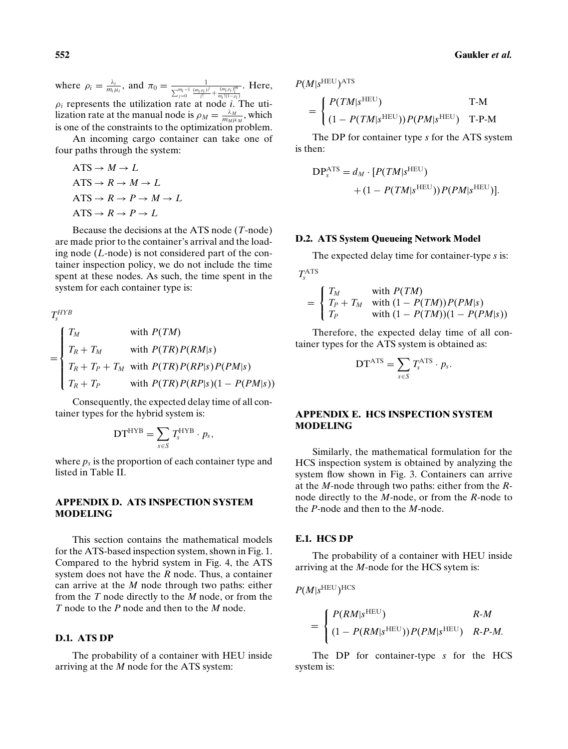where  $\rho_i = \frac{\lambda_i}{m_i \mu_i}$ , and  $\pi_0 = \frac{1}{\sum_{j=0}^{m_i-1} \frac{(m_i \rho_i)^j}{j!} + \frac{(m_i \rho_i)^m_i}{m_i!(1-\rho_i)}}$ . Here,  $\rho_i$  represents the utilization rate at node *i*. The utilization rate at the manual node is  $\rho_M = \frac{\lambda_M}{m_M \mu_M}$ , which is one of the constraints to the optimization problem.

An incoming cargo container can take one of four paths through the system:

$$
\begin{aligned} \n\text{ATS} &\rightarrow M \rightarrow L \\ \n\text{ATS} &\rightarrow R \rightarrow M \rightarrow L \\ \n\text{ATS} &\rightarrow R \rightarrow P \rightarrow M \rightarrow L \\ \n\text{ATS} &\rightarrow R \rightarrow P \rightarrow L \n\end{aligned}
$$

Because the decisions at the ATS node (*T*-node) are made prior to the container's arrival and the loading node (*L*-node) is not considered part of the container inspection policy, we do not include the time spent at these nodes. As such, the time spent in the system for each container type is:

$$
T_s^{HYB}
$$
  
= 
$$
\begin{cases} T_M & \text{with } P(TM) \\ T_R + T_M & \text{with } P(TR)P(RM|s) \\ T_R + T_P + T_M & \text{with } P(TR)P(RP|s)P(PM|s) \\ T_R + T_P & \text{with } P(TR)P(RP|s)(1 - P(PM|s)) \end{cases}
$$

Consequently, the expected delay time of all container types for the hybrid system is:

$$
DT^{HYB} = \sum_{s \in S} T_s^{HYB} \cdot p_s,
$$

where  $p_s$  is the proportion of each container type and listed in Table II.

# **APPENDIX D. ATS INSPECTION SYSTEM MODELING**

This section contains the mathematical models for the ATS-based inspection system, shown in Fig. 1. Compared to the hybrid system in Fig. 4, the ATS system does not have the *R* node. Thus, a container can arrive at the *M* node through two paths: either from the *T* node directly to the *M* node, or from the *T* node to the *P* node and then to the *M* node.

# **D.1. ATS DP**

The probability of a container with HEU inside arriving at the *M* node for the ATS system:

 $P(M|s^{\text{HEU}})$ ATS

$$
= \begin{cases} P(TM|s^{HEU}) & T-M \\ (1 - P(TM|s^{HEU})) P(PM|s^{HEU}) & T-P-M \end{cases}
$$

The DP for container type *s* for the ATS system is then:

$$
DP_s^{ATS} = d_M \cdot [P(TM|s^{HEU}) + (1 - P(TM|s^{HEU}))P(PM|s^{HEU})].
$$

## **D.2. ATS System Queueing Network Model**

The expected delay time for container-type *s* is:

$$
T_s^{\rm ATS}
$$

$$
= \begin{cases} T_M & \text{with } P(TM) \\ T_P + T_M & \text{with } (1 - P(TM))P(PM|s) \\ T_P & \text{with } (1 - P(TM))(1 - P(PM|s)) \end{cases}
$$

Therefore, the expected delay time of all container types for the ATS system is obtained as:

$$
DTATS = \sum_{s \in S} T_s^{ATS} \cdot p_s.
$$

# **APPENDIX E. HCS INSPECTION SYSTEM MODELING**

Similarly, the mathematical formulation for the HCS inspection system is obtained by analyzing the system flow shown in Fig. 3. Containers can arrive at the *M*-node through two paths: either from the *R*node directly to the *M*-node, or from the *R*-node to the *P*-node and then to the *M*-node.

## **E.1. HCS DP**

The probability of a container with HEU inside arriving at the *M*-node for the HCS sytem is:

$$
P(M|s^{HEU})^{HCS}
$$
  
= 
$$
\begin{cases} P(RM|s^{HEU}) & R-M \\ (1 - P(RM|s^{HEU})) P(PM|s^{HEU}) & R-P-M. \end{cases}
$$

The DP for container-type *s* for the HCS system is: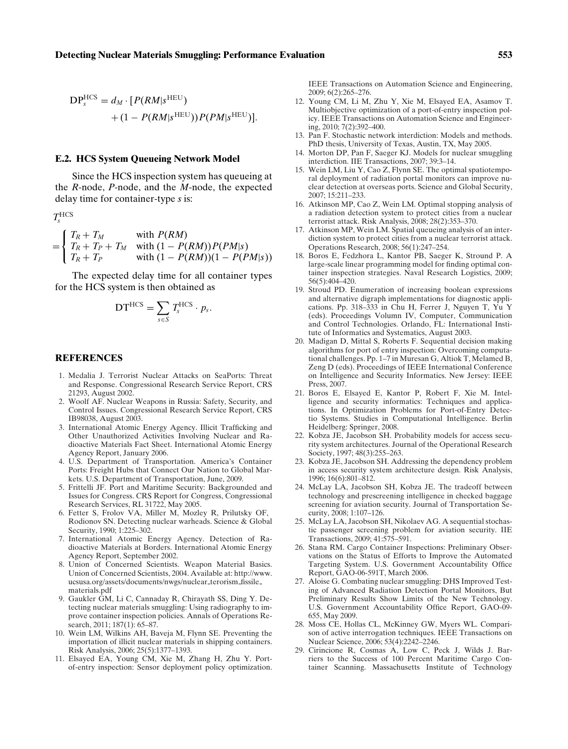$$
DP_s^{HCS} = d_M \cdot [P(RM|s^{HEU}) + (1 - P(RM|s^{HEU}))P(PM|s^{HEU})].
$$

#### **E.2. HCS System Queueing Network Model**

Since the HCS inspection system has queueing at the *R*-node, *P*-node, and the *M*-node, the expected delay time for container-type *s* is:

$$
T_s^{\rm HCS}
$$

$$
= \begin{cases} T_R + T_M & \text{with } P(RM) \\ T_R + T_P + T_M & \text{with } (1 - P(RM))P(PM|s) \\ T_R + T_P & \text{with } (1 - P(RM))(1 - P(PM|s)) \end{cases}
$$

The expected delay time for all container types for the HCS system is then obtained as

$$
DT^{HCS}=\sum_{s\in S}T_s^{HCS}\cdot p_s.
$$

## **REFERENCES**

- 1. Medalia J. Terrorist Nuclear Attacks on SeaPorts: Threat and Response. Congressional Research Service Report, CRS 21293, August 2002.
- 2. Woolf AF. Nuclear Weapons in Russia: Safety, Security, and Control Issues. Congressional Research Service Report, CRS IB98038, August 2003.
- 3. International Atomic Energy Agency. Illicit Trafficking and Other Unauthorized Activities Involving Nuclear and Radioactive Materials Fact Sheet. International Atomic Energy Agency Report, January 2006.
- 4. U.S. Department of Transportation. America's Container Ports: Freight Hubs that Connect Our Nation to Global Markets. U.S. Department of Transportation, June, 2009.
- 5. Frittelli JF. Port and Maritime Security: Backgrounded and Issues for Congress. CRS Report for Congress, Congressional Research Services, RL 31722, May 2005.
- 6. Fetter S, Frolov VA, Miller M, Mozley R, Prilutsky OF, Rodionov SN. Detecting nuclear warheads. Science & Global Security, 1990; 1:225–302.
- 7. International Atomic Energy Agency. Detection of Radioactive Materials at Borders. International Atomic Energy Agency Report, September 2002.
- 8. Union of Concerned Scientists. Weapon Material Basics. Union of Concerned Scientists, 2004. Available at: http://www. ucsusa.org/assets/documents/nwgs/nuclear terorism fissile materials.pdf
- 9. Gaukler GM, Li C, Cannaday R, Chirayath SS, Ding Y. Detecting nuclear materials smuggling: Using radiography to improve container inspection policies. Annals of Operations Research, 2011; 187(1): 65-87.
- 10. Wein LM, Wilkins AH, Baveja M, Flynn SE. Preventing the importation of illicit nuclear materials in shipping containers. Risk Analysis, 2006; 25(5):1377–1393.
- 11. Elsayed EA, Young CM, Xie M, Zhang H, Zhu Y. Portof-entry inspection: Sensor deployment policy optimization.

IEEE Transactions on Automation Science and Engineering, 2009; 6(2):265–276.

- 12. Young CM, Li M, Zhu Y, Xie M, Elsayed EA, Asamov T. Multiobjective optimization of a port-of-entry inspection policy. IEEE Transactions on Automation Science and Engineering, 2010; 7(2):392–400.
- 13. Pan F. Stochastic network interdiction: Models and methods. PhD thesis, University of Texas, Austin, TX, May 2005.
- 14. Morton DP, Pan F, Saeger KJ. Models for nuclear smuggling interdiction. IIE Transactions, 2007; 39:3–14.
- 15. Wein LM, Liu Y, Cao Z, Flynn SE. The optimal spatiotemporal deployment of radiation portal monitors can improve nuclear detection at overseas ports. Science and Global Security, 2007; 15:211–233.
- 16. Atkinson MP, Cao Z, Wein LM. Optimal stopping analysis of a radiation detection system to protect cities from a nuclear terrorist attack. Risk Analysis, 2008; 28(2):353–370.
- 17. Atkinson MP, Wein LM. Spatial queueing analysis of an interdiction system to protect cities from a nuclear terrorist attack. Operations Research, 2008; 56(1):247–254.
- 18. Boros E, Fedzhora L, Kantor PB, Saeger K, Stround P. A large-scale linear programming model for finding optimal container inspection strategies. Naval Research Logistics, 2009; 56(5):404–420.
- 19. Stroud PD. Enumeration of increasing boolean expressions and alternative digraph implementations for diagnostic applications. Pp. 318–333 in Chu H, Ferrer J, Nguyen T, Yu Y (eds). Proceedings Volumn IV, Computer, Communication and Control Technologies. Orlando, FL: International Institute of Informatics and Systematics, August 2003.
- 20. Madigan D, Mittal S, Roberts F. Sequential decision making algorithms for port of entry inspection: Overcoming computational challenges. Pp. 1–7 in Muresan G, Altiok T, Melamed B, Zeng D (eds). Proceedings of IEEE International Conference on Intelligence and Security Informatics. New Jersey: IEEE Press, 2007.
- 21. Boros E, Elsayed E, Kantor P, Robert F, Xie M. Intelligence and security informatics: Techniques and applications. In Optimization Problems for Port-of-Entry Detectio Systems. Studies in Computational Intelligence. Berlin Heidelberg: Springer, 2008.
- 22. Kobza JE, Jacobson SH. Probability models for access security system architectures. Journal of the Operational Research Society, 1997; 48(3):255–263.
- 23. Kobza JE, Jacobson SH. Addressing the dependency problem in access security system architecture design. Risk Analysis, 1996; 16(6):801–812.
- 24. McLay LA, Jacobson SH, Kobza JE. The tradeoff between technology and prescreening intelligence in checked baggage screening for aviation security. Journal of Transportation Security, 2008; 1:107–126.
- 25. McLay LA, Jacobson SH, Nikolaev AG. A sequential stochastic passenger screening problem for aviation security. IIE Transactions, 2009; 41:575–591.
- 26. Stana RM. Cargo Container Inspections: Preliminary Observations on the Status of Efforts to Improve the Automated Targeting System. U.S. Government Accountability Office Report, GAO-06-591T, March 2006.
- 27. Aloise G. Combating nuclear smuggling: DHS Improved Testing of Advanced Radiation Detection Portal Monitors, But Preliminary Results Show Limits of the New Technology. U.S. Government Accountability Office Report, GAO-09- 655, May 2009.
- 28. Moss CE, Hollas CL, McKinney GW, Myers WL. Comparison of active interrogation techniques. IEEE Transactions on Nuclear Science, 2006; 53(4):2242–2246.
- 29. Cirincione R, Cosmas A, Low C, Peck J, Wilds J. Barriers to the Success of 100 Percent Maritime Cargo Container Scanning. Massachusetts Institute of Technology